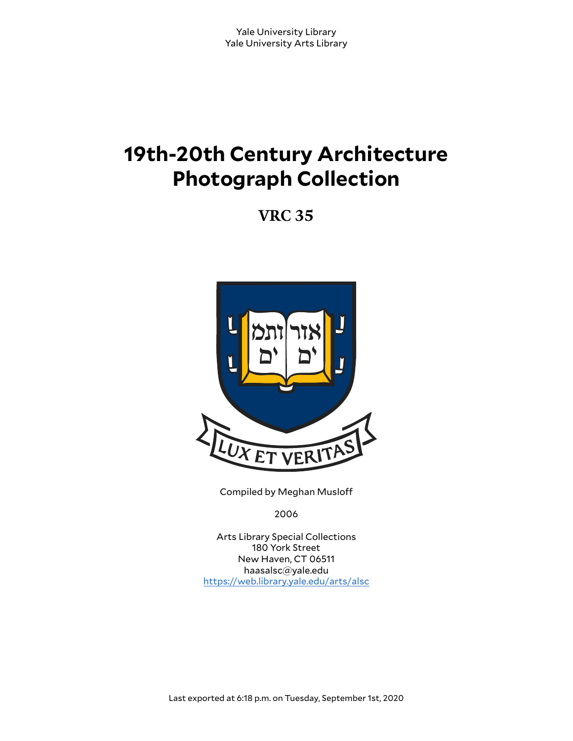# **19th-20th Century Architecture Photograph Collection**

**VRC 35**



Compiled by Meghan Muslo

2006

Arts Library Special Collections 180 York Street New Haven, CT 06511 haasalsc@yale.edu <https://web.library.yale.edu/arts/alsc>

Last exported at 6:18 p.m. on Tuesday, September 1st, 2020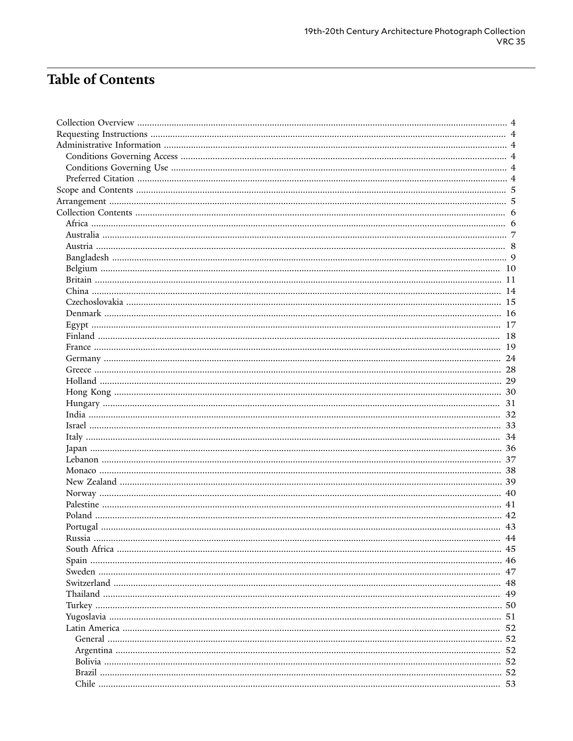# **Table of Contents**

| Russia | 44 |
|--------|----|
|        |    |
|        |    |
|        |    |
|        |    |
|        |    |
|        |    |
|        |    |
|        |    |
|        |    |
|        |    |
|        |    |
|        |    |
|        |    |
|        |    |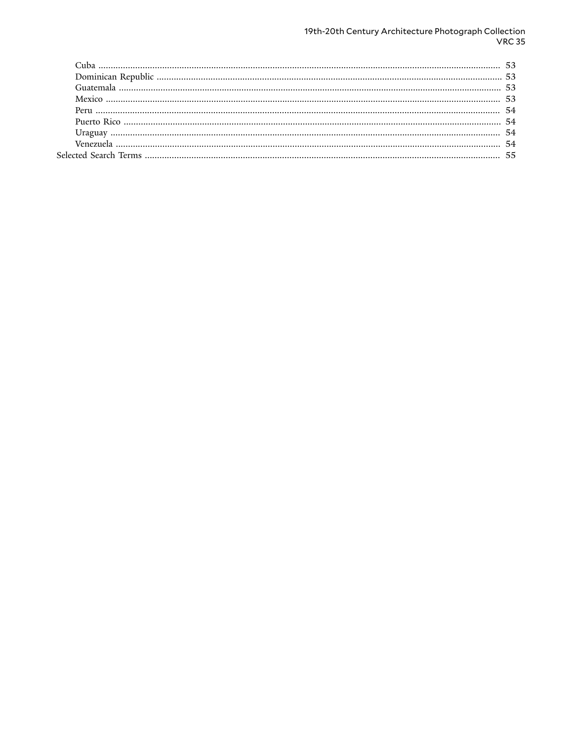# 19th-20th Century Architecture Photograph Collection<br>VRC 35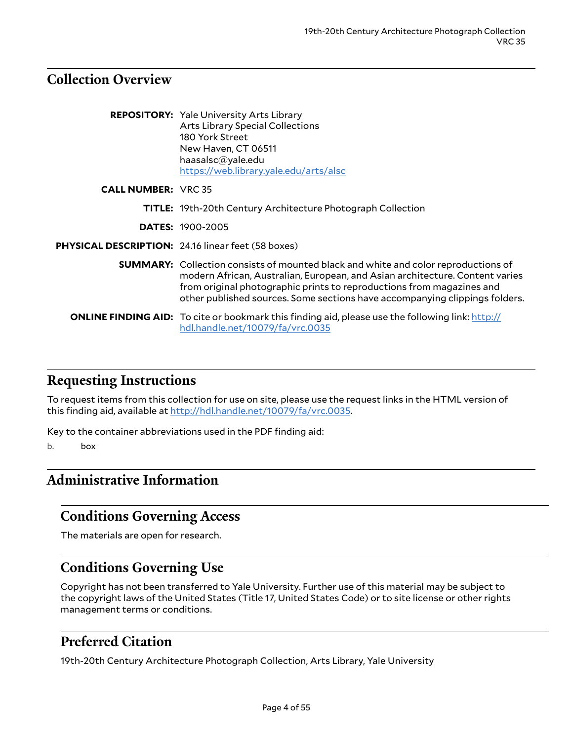# <span id="page-3-0"></span>**Collection Overview**

|                            | <b>REPOSITORY:</b> Yale University Arts Library<br>Arts Library Special Collections<br>180 York Street<br>New Haven, CT 06511<br>haasalsc@yale.edu<br>https://web.library.yale.edu/arts/alsc                                                                                                                                      |  |
|----------------------------|-----------------------------------------------------------------------------------------------------------------------------------------------------------------------------------------------------------------------------------------------------------------------------------------------------------------------------------|--|
| <b>CALL NUMBER: VRC 35</b> |                                                                                                                                                                                                                                                                                                                                   |  |
|                            | <b>TITLE:</b> 19th-20th Century Architecture Photograph Collection                                                                                                                                                                                                                                                                |  |
|                            | <b>DATES: 1900-2005</b>                                                                                                                                                                                                                                                                                                           |  |
|                            | <b>PHYSICAL DESCRIPTION: 24.16 linear feet (58 boxes)</b>                                                                                                                                                                                                                                                                         |  |
|                            | <b>SUMMARY:</b> Collection consists of mounted black and white and color reproductions of<br>modern African, Australian, European, and Asian architecture. Content varies<br>from original photographic prints to reproductions from magazines and<br>other published sources. Some sections have accompanying clippings folders. |  |
|                            | <b>ONLINE FINDING AID:</b> To cite or bookmark this finding aid, please use the following link: http://<br>hdl.handle.net/10079/fa/vrc.0035                                                                                                                                                                                       |  |

## <span id="page-3-1"></span>**Requesting Instructions**

To request items from this collection for use on site, please use the request links in the HTML version of this finding aid, available at [http://hdl.handle.net/10079/fa/vrc.0035.](http://hdl.handle.net/10079/fa/vrc.0035)

Key to the container abbreviations used in the PDF finding aid:

b. box

# <span id="page-3-2"></span>**Administrative Information**

## <span id="page-3-3"></span>**Conditions Governing Access**

The materials are open for research.

# <span id="page-3-4"></span>**Conditions Governing Use**

Copyright has not been transferred to Yale University. Further use of this material may be subject to the copyright laws of the United States (Title 17, United States Code) or to site license or other rights management terms or conditions.

# <span id="page-3-5"></span>**Preferred Citation**

19th-20th Century Architecture Photograph Collection, Arts Library, Yale University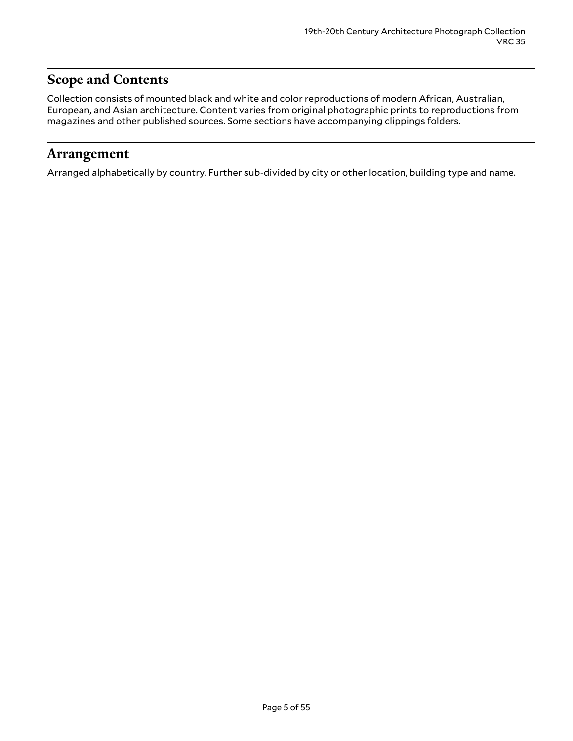# <span id="page-4-0"></span>**Scope and Contents**

Collection consists of mounted black and white and color reproductions of modern African, Australian, European, and Asian architecture. Content varies from original photographic prints to reproductions from magazines and other published sources. Some sections have accompanying clippings folders.

### <span id="page-4-1"></span>**Arrangement**

Arranged alphabetically by country. Further sub-divided by city or other location, building type and name.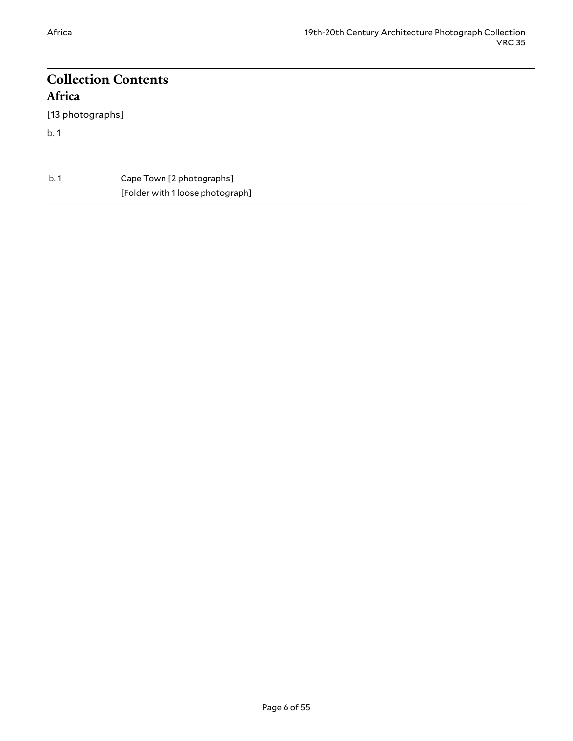# <span id="page-5-0"></span>**Collection Contents Africa**

<span id="page-5-1"></span>[13 photographs]

| b.1 | Cape Town [2 photographs]        |
|-----|----------------------------------|
|     | [Folder with 1 loose photograph] |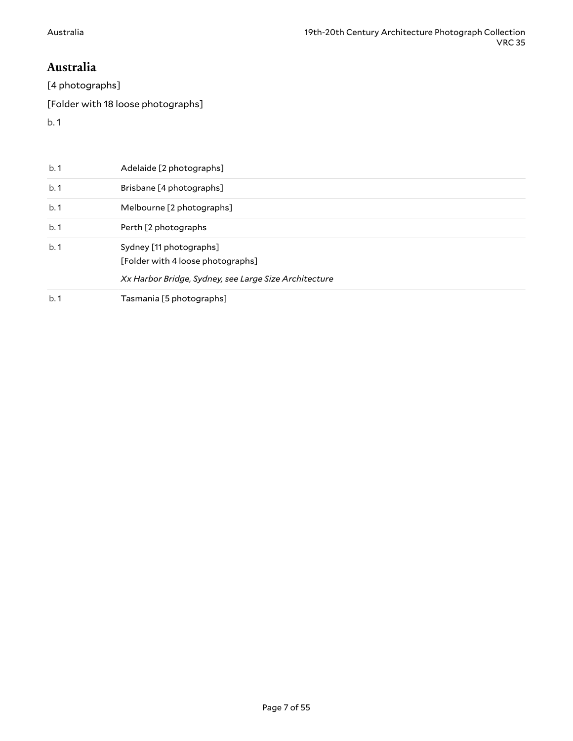### <span id="page-6-0"></span>**Australia**

[4 photographs]

[Folder with 18 loose photographs]

| b.1 | Adelaide [2 photographs]                                                                                              |
|-----|-----------------------------------------------------------------------------------------------------------------------|
| b.1 | Brisbane [4 photographs]                                                                                              |
| b.1 | Melbourne [2 photographs]                                                                                             |
| b.1 | Perth [2 photographs]                                                                                                 |
| b.1 | Sydney [11 photographs]<br>[Folder with 4 loose photographs]<br>Xx Harbor Bridge, Sydney, see Large Size Architecture |
| b.1 | Tasmania [5 photographs]                                                                                              |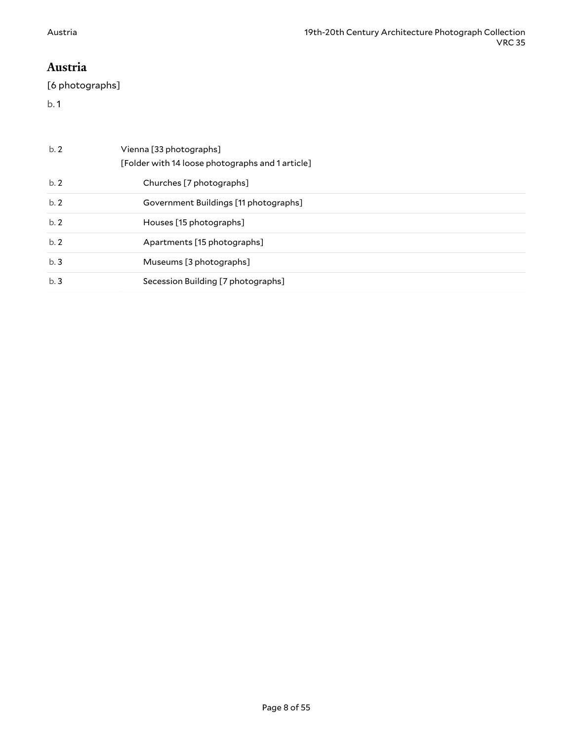### <span id="page-7-0"></span>**Austria**

[6 photographs]

| b.2 | Vienna [33 photographs]<br>[Folder with 14 loose photographs and 1 article] |  |
|-----|-----------------------------------------------------------------------------|--|
| b.2 | Churches [7 photographs]                                                    |  |
| b.2 | Government Buildings [11 photographs]                                       |  |
| b.2 | Houses [15 photographs]                                                     |  |
| b.2 | Apartments [15 photographs]                                                 |  |
| b.3 | Museums [3 photographs]                                                     |  |
| b.3 | Secession Building [7 photographs]                                          |  |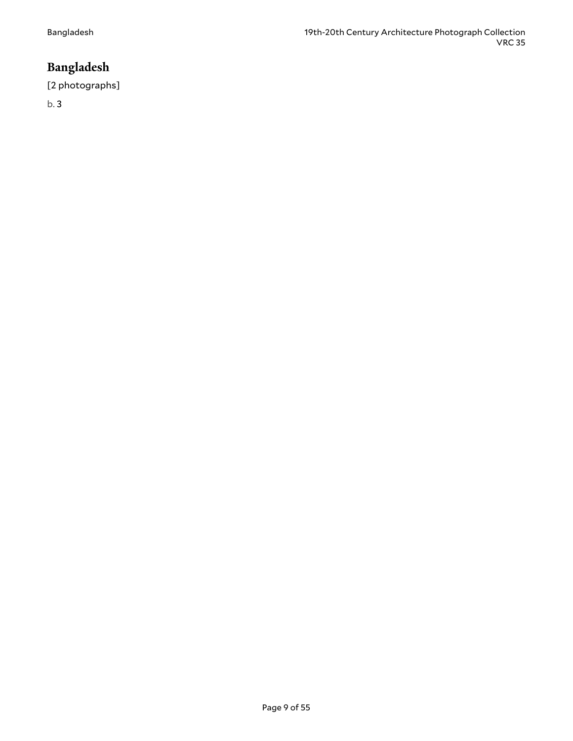# <span id="page-8-0"></span>**Bangladesh**

#### [2 photographs]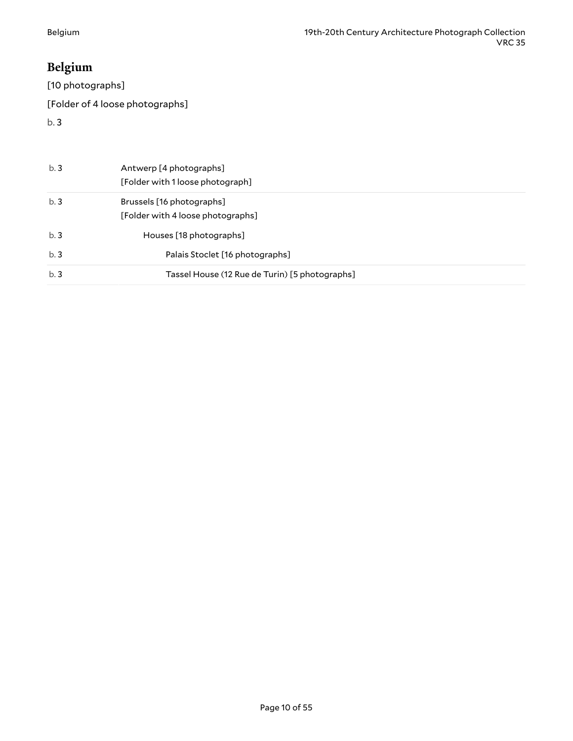# <span id="page-9-0"></span>**Belgium**

[10 photographs]

[Folder of 4 loose photographs]

| b.3 | Antwerp [4 photographs]<br>[Folder with 1 loose photograph]    |
|-----|----------------------------------------------------------------|
| b.3 | Brussels [16 photographs]<br>[Folder with 4 loose photographs] |
| b.3 | Houses [18 photographs]                                        |
| b.3 | Palais Stoclet [16 photographs]                                |
| b.3 | Tassel House (12 Rue de Turin) [5 photographs]                 |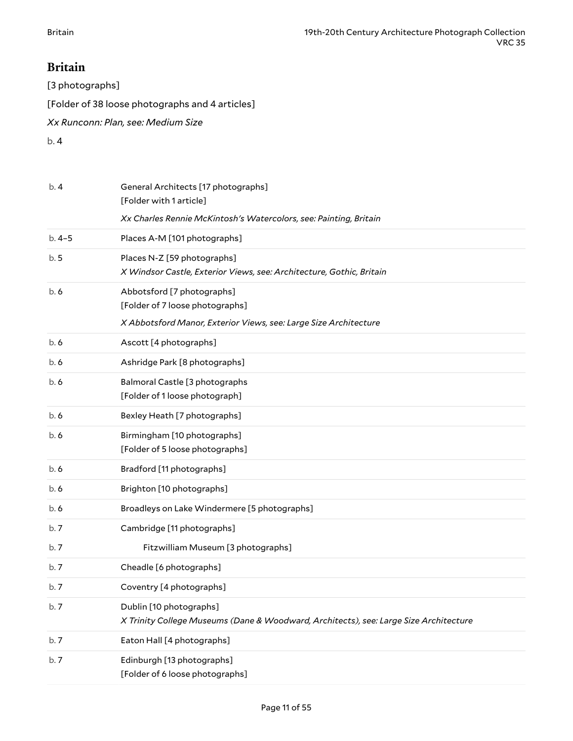## <span id="page-10-0"></span>**Britain**

[3 photographs]

[Folder of 38 loose photographs and 4 articles]

*Xx Runconn: Plan, see: Medium Size*

| b.4     | General Architects [17 photographs]<br>[Folder with 1 article]                                                   |
|---------|------------------------------------------------------------------------------------------------------------------|
|         | Xx Charles Rennie McKintosh's Watercolors, see: Painting, Britain                                                |
| $b.4-5$ | Places A-M [101 photographs]                                                                                     |
| b.5     | Places N-Z [59 photographs]<br>X Windsor Castle, Exterior Views, see: Architecture, Gothic, Britain              |
| b.6     | Abbotsford [7 photographs]<br>[Folder of 7 loose photographs]                                                    |
|         | X Abbotsford Manor, Exterior Views, see: Large Size Architecture                                                 |
| b. 6    | Ascott [4 photographs]                                                                                           |
| b. 6    | Ashridge Park [8 photographs]                                                                                    |
| b.6     | Balmoral Castle [3 photographs<br>[Folder of 1 loose photograph]                                                 |
| b.6     | Bexley Heath [7 photographs]                                                                                     |
| b.6     | Birmingham [10 photographs]<br>[Folder of 5 loose photographs]                                                   |
| b.6     | Bradford [11 photographs]                                                                                        |
| b.6     | Brighton [10 photographs]                                                                                        |
| b. 6    | Broadleys on Lake Windermere [5 photographs]                                                                     |
| b.7     | Cambridge [11 photographs]                                                                                       |
| b.7     | Fitzwilliam Museum [3 photographs]                                                                               |
| b.7     | Cheadle [6 photographs]                                                                                          |
| b.7     | Coventry [4 photographs]                                                                                         |
| b.7     | Dublin [10 photographs]<br>X Trinity College Museums (Dane & Woodward, Architects), see: Large Size Architecture |
| b.7     | Eaton Hall [4 photographs]                                                                                       |
| b.7     | Edinburgh [13 photographs]<br>[Folder of 6 loose photographs]                                                    |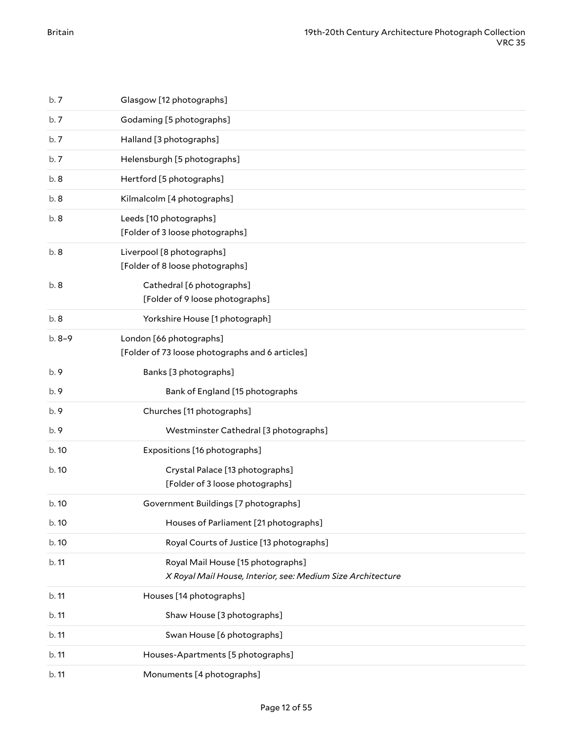| b.7     | Glasgow [12 photographs]                                                                         |
|---------|--------------------------------------------------------------------------------------------------|
| b.7     | Godaming [5 photographs]                                                                         |
| b.7     | Halland [3 photographs]                                                                          |
| b.7     | Helensburgh [5 photographs]                                                                      |
| b.8     | Hertford [5 photographs]                                                                         |
| b.8     | Kilmalcolm [4 photographs]                                                                       |
| b.8     | Leeds [10 photographs]<br>[Folder of 3 loose photographs]                                        |
| b.8     | Liverpool [8 photographs]<br>[Folder of 8 loose photographs]                                     |
| b.8     | Cathedral [6 photographs]<br>[Folder of 9 loose photographs]                                     |
| b.8     | Yorkshire House [1 photograph]                                                                   |
| $b.8-9$ | London [66 photographs]<br>[Folder of 73 loose photographs and 6 articles]                       |
| b.9     | Banks [3 photographs]                                                                            |
| b.9     | Bank of England [15 photographs                                                                  |
| b.9     | Churches [11 photographs]                                                                        |
| b.9     | Westminster Cathedral [3 photographs]                                                            |
| b. 10   | Expositions [16 photographs]                                                                     |
| b.10    | Crystal Palace [13 photographs]<br>[Folder of 3 loose photographs]                               |
| b.10    | Government Buildings [7 photographs]                                                             |
| b.10    | Houses of Parliament [21 photographs]                                                            |
| b.10    | Royal Courts of Justice [13 photographs]                                                         |
| b.11    | Royal Mail House [15 photographs]<br>X Royal Mail House, Interior, see: Medium Size Architecture |
| b.11    | Houses [14 photographs]                                                                          |
| b.11    | Shaw House [3 photographs]                                                                       |
| b.11    | Swan House [6 photographs]                                                                       |
| b.11    | Houses-Apartments [5 photographs]                                                                |
| b.11    | Monuments [4 photographs]                                                                        |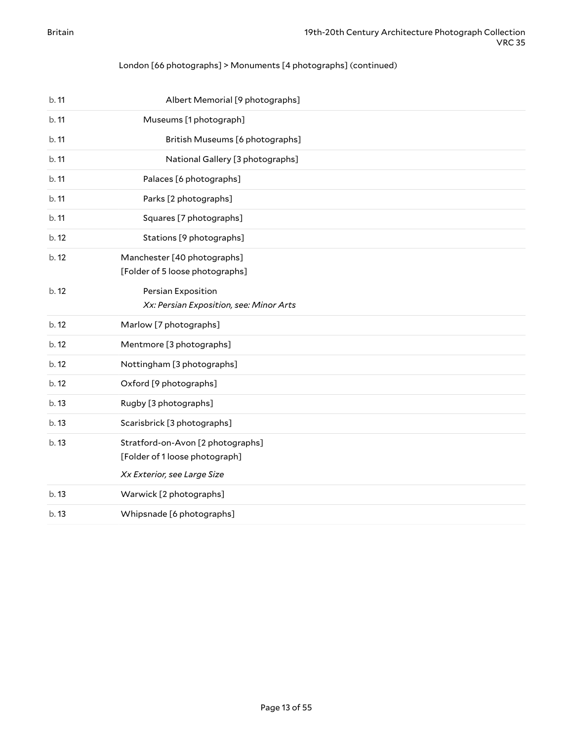#### London [66 photographs] > Monuments [4 photographs] (continued)

| b.11  | Albert Memorial [9 photographs]                                                                    |
|-------|----------------------------------------------------------------------------------------------------|
| b. 11 | Museums [1 photograph]                                                                             |
| b.11  | British Museums [6 photographs]                                                                    |
| b.11  | National Gallery [3 photographs]                                                                   |
| b.11  | Palaces [6 photographs]                                                                            |
| b. 11 | Parks [2 photographs]                                                                              |
| b. 11 | Squares [7 photographs]                                                                            |
| b.12  | Stations [9 photographs]                                                                           |
| b.12  | Manchester [40 photographs]<br>[Folder of 5 loose photographs]                                     |
| b.12  | Persian Exposition<br>Xx: Persian Exposition, see: Minor Arts                                      |
| b. 12 | Marlow [7 photographs]                                                                             |
| b. 12 | Mentmore [3 photographs]                                                                           |
| b.12  | Nottingham [3 photographs]                                                                         |
| b.12  | Oxford [9 photographs]                                                                             |
| b.13  | Rugby [3 photographs]                                                                              |
| b. 13 | Scarisbrick [3 photographs]                                                                        |
| b. 13 | Stratford-on-Avon [2 photographs]<br>[Folder of 1 loose photograph]<br>Xx Exterior, see Large Size |
| b. 13 | Warwick [2 photographs]                                                                            |
| b.13  | Whipsnade [6 photographs]                                                                          |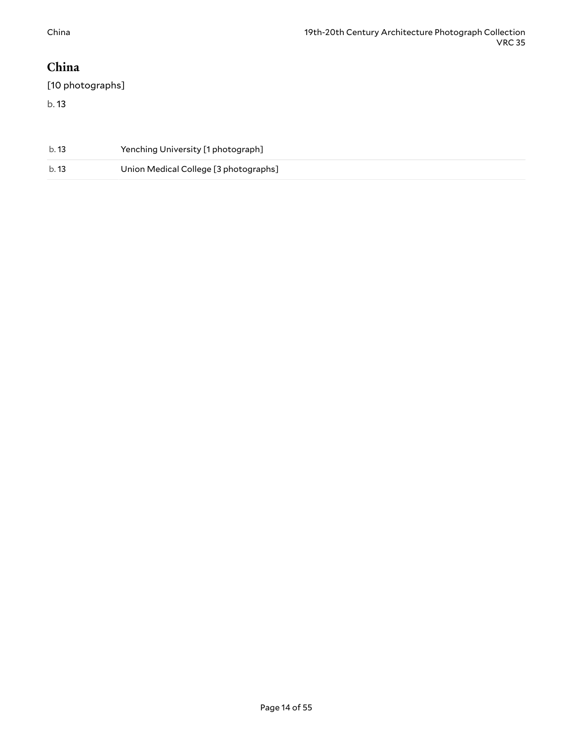# <span id="page-13-0"></span>**China**

[10 photographs]

| b. 13 | Yenching University [1 photograph]    |
|-------|---------------------------------------|
| b. 13 | Union Medical College [3 photographs] |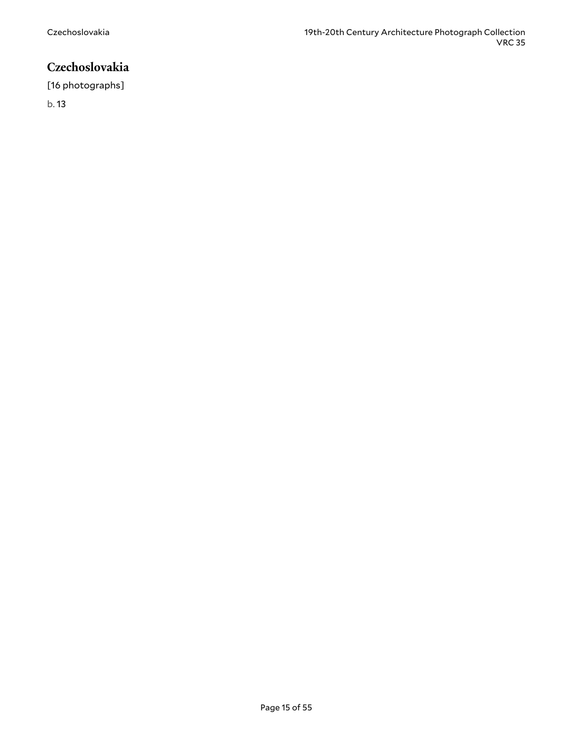# <span id="page-14-0"></span>**Czechoslovakia**

[16 photographs]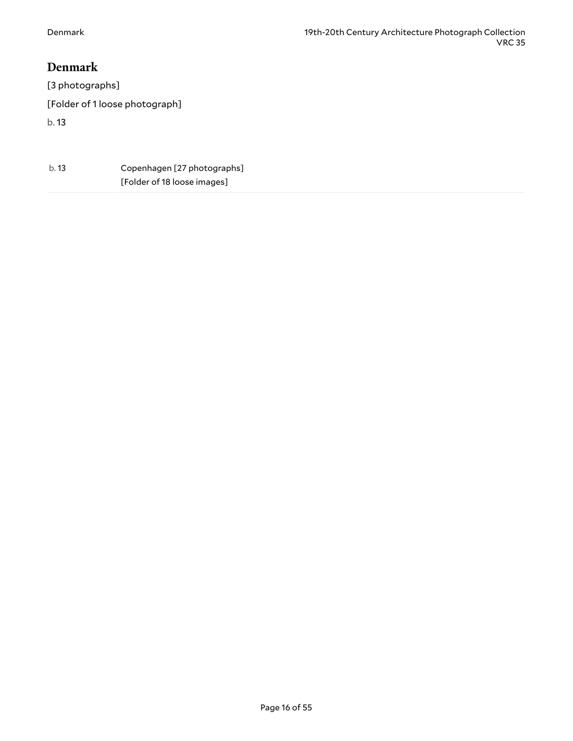#### <span id="page-15-0"></span>**Denmark**

[3 photographs] [Folder of 1 loose photograph] b. 13

| b. 13 | Copenhagen [27 photographs] |
|-------|-----------------------------|
|       | [Folder of 18 loose images] |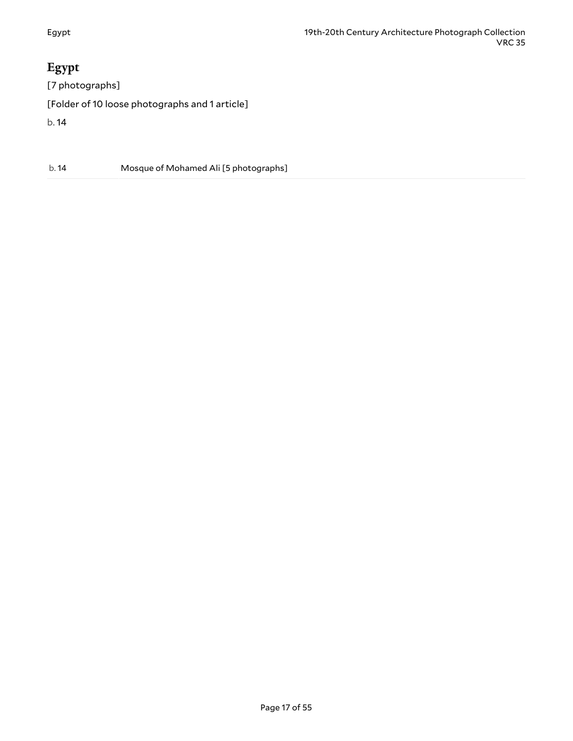# <span id="page-16-0"></span>**Egypt**

[7 photographs] [Folder of 10 loose photographs and 1 article] b. 14

b. 14 Mosque of Mohamed Ali [5 photographs]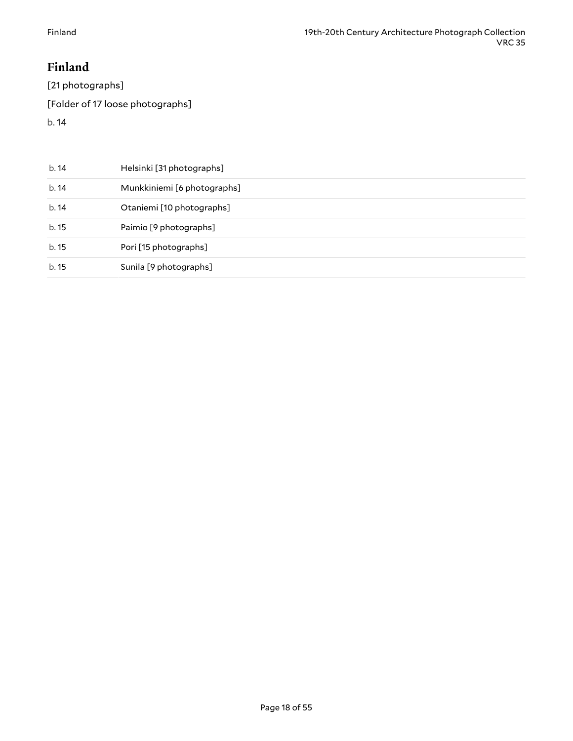# <span id="page-17-0"></span>**Finland**

[21 photographs]

[Folder of 17 loose photographs]

| b.14  | Helsinki [31 photographs]   |
|-------|-----------------------------|
| b.14  | Munkkiniemi [6 photographs] |
| b.14  | Otaniemi [10 photographs]   |
| b. 15 | Paimio [9 photographs]      |
| b. 15 | Pori [15 photographs]       |
| b. 15 | Sunila [9 photographs]      |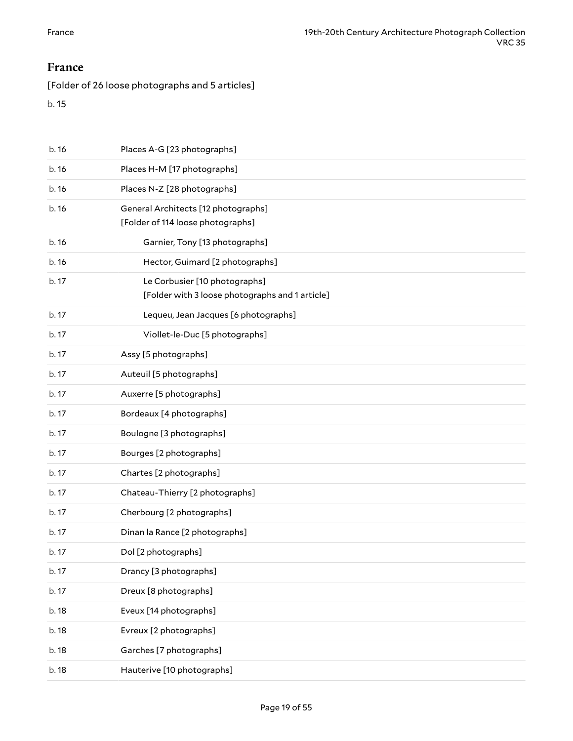#### <span id="page-18-0"></span>**France**

[Folder of 26 loose photographs and 5 articles]

| b. 16 | Places A-G [23 photographs]                                                      |
|-------|----------------------------------------------------------------------------------|
| b.16  | Places H-M [17 photographs]                                                      |
| b.16  | Places N-Z [28 photographs]                                                      |
| b.16  | General Architects [12 photographs]<br>[Folder of 114 loose photographs]         |
| b.16  | Garnier, Tony [13 photographs]                                                   |
| b.16  | Hector, Guimard [2 photographs]                                                  |
| b. 17 | Le Corbusier [10 photographs]<br>[Folder with 3 loose photographs and 1 article] |
| b. 17 | Lequeu, Jean Jacques [6 photographs]                                             |
| b. 17 | Viollet-le-Duc [5 photographs]                                                   |
| b. 17 | Assy [5 photographs]                                                             |
| b. 17 | Auteuil [5 photographs]                                                          |
| b. 17 | Auxerre [5 photographs]                                                          |
| b. 17 | Bordeaux [4 photographs]                                                         |
| b. 17 | Boulogne [3 photographs]                                                         |
| b. 17 | Bourges [2 photographs]                                                          |
| b. 17 | Chartes [2 photographs]                                                          |
| b. 17 | Chateau-Thierry [2 photographs]                                                  |
| b. 17 | Cherbourg [2 photographs]                                                        |
| b. 17 | Dinan la Rance [2 photographs]                                                   |
| b. 17 | Dol [2 photographs]                                                              |
| b. 17 | Drancy [3 photographs]                                                           |
| b. 17 | Dreux [8 photographs]                                                            |
| b. 18 | Eveux [14 photographs]                                                           |
| b. 18 | Evreux [2 photographs]                                                           |
| b. 18 | Garches [7 photographs]                                                          |
| b. 18 | Hauterive [10 photographs]                                                       |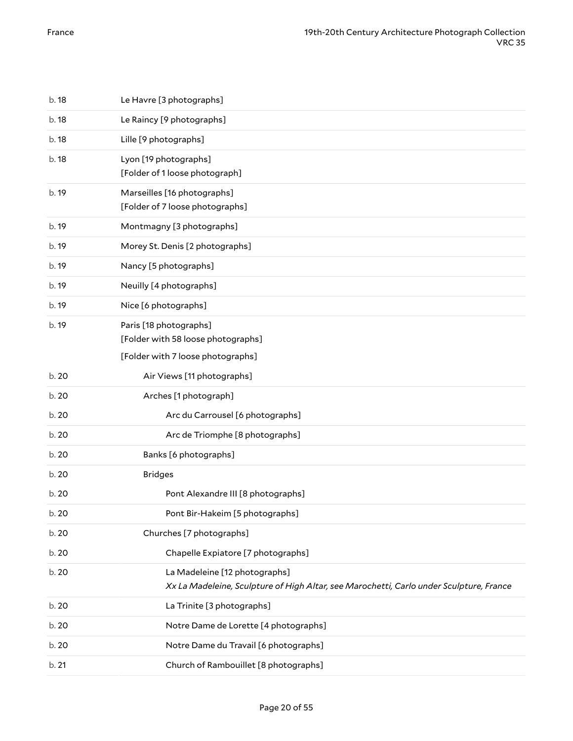| b. 18 | Le Havre [3 photographs]                                                                                                 |
|-------|--------------------------------------------------------------------------------------------------------------------------|
| b. 18 | Le Raincy [9 photographs]                                                                                                |
| b. 18 | Lille [9 photographs]                                                                                                    |
| b. 18 | Lyon [19 photographs]<br>[Folder of 1 loose photograph]                                                                  |
| b. 19 | Marseilles [16 photographs]<br>[Folder of 7 loose photographs]                                                           |
| b. 19 | Montmagny [3 photographs]                                                                                                |
| b. 19 | Morey St. Denis [2 photographs]                                                                                          |
| b. 19 | Nancy [5 photographs]                                                                                                    |
| b. 19 | Neuilly [4 photographs]                                                                                                  |
| b. 19 | Nice [6 photographs]                                                                                                     |
| b. 19 | Paris [18 photographs]<br>[Folder with 58 loose photographs]<br>[Folder with 7 loose photographs]                        |
| b. 20 | Air Views [11 photographs]                                                                                               |
| b. 20 | Arches [1 photograph]                                                                                                    |
| b. 20 | Arc du Carrousel [6 photographs]                                                                                         |
| b. 20 | Arc de Triomphe [8 photographs]                                                                                          |
| b. 20 | Banks [6 photographs]                                                                                                    |
| b. 20 | <b>Bridges</b>                                                                                                           |
| b. 20 | Pont Alexandre III [8 photographs]                                                                                       |
| b. 20 | Pont Bir-Hakeim [5 photographs]                                                                                          |
| b. 20 | Churches [7 photographs]                                                                                                 |
| b. 20 | Chapelle Expiatore [7 photographs]                                                                                       |
| b. 20 | La Madeleine [12 photographs]<br>Xx La Madeleine, Sculpture of High Altar, see Marochetti, Carlo under Sculpture, France |
| b. 20 | La Trinite [3 photographs]                                                                                               |
| b. 20 | Notre Dame de Lorette [4 photographs]                                                                                    |
| b. 20 | Notre Dame du Travail [6 photographs]                                                                                    |
| b. 21 | Church of Rambouillet [8 photographs]                                                                                    |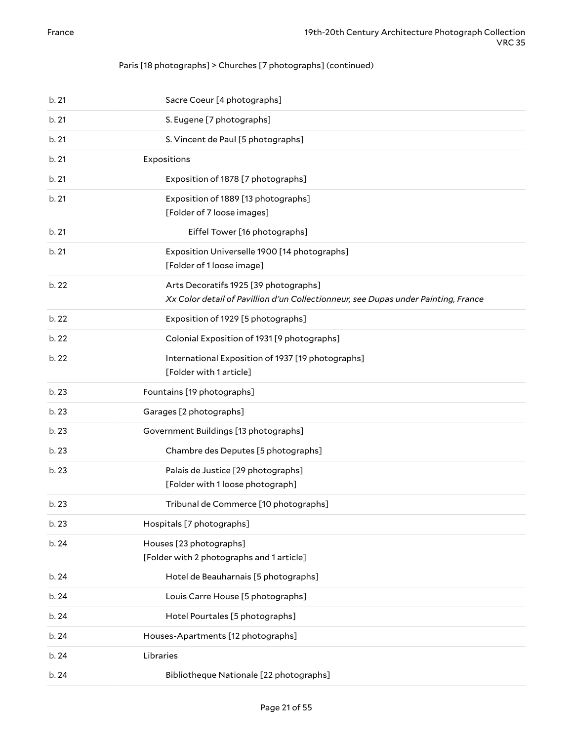#### Paris [18 photographs] > Churches [7 photographs] (continued)

| b.21  | Sacre Coeur [4 photographs]                                                                                                 |
|-------|-----------------------------------------------------------------------------------------------------------------------------|
| b.21  | S. Eugene [7 photographs]                                                                                                   |
| b.21  | S. Vincent de Paul [5 photographs]                                                                                          |
| b.21  | Expositions                                                                                                                 |
| b.21  | Exposition of 1878 [7 photographs]                                                                                          |
| b.21  | Exposition of 1889 [13 photographs]<br>[Folder of 7 loose images]                                                           |
| b.21  | Eiffel Tower [16 photographs]                                                                                               |
| b.21  | Exposition Universelle 1900 [14 photographs]<br>[Folder of 1 loose image]                                                   |
| b. 22 | Arts Decoratifs 1925 [39 photographs]<br>Xx Color detail of Pavillion d'un Collectionneur, see Dupas under Painting, France |
| b. 22 | Exposition of 1929 [5 photographs]                                                                                          |
| b. 22 | Colonial Exposition of 1931 [9 photographs]                                                                                 |
| b. 22 | International Exposition of 1937 [19 photographs]<br>[Folder with 1 article]                                                |
| b. 23 | Fountains [19 photographs]                                                                                                  |
| b. 23 | Garages [2 photographs]                                                                                                     |
| b. 23 | Government Buildings [13 photographs]                                                                                       |
| b. 23 | Chambre des Deputes [5 photographs]                                                                                         |
| b. 23 | Palais de Justice [29 photographs]<br>[Folder with 1 loose photograph]                                                      |
| b. 23 | Tribunal de Commerce [10 photographs]                                                                                       |
| b. 23 | Hospitals [7 photographs]                                                                                                   |
| b. 24 | Houses [23 photographs]<br>[Folder with 2 photographs and 1 article]                                                        |
| b. 24 | Hotel de Beauharnais [5 photographs]                                                                                        |
| b. 24 | Louis Carre House [5 photographs]                                                                                           |
| b. 24 | Hotel Pourtales [5 photographs]                                                                                             |
| b. 24 | Houses-Apartments [12 photographs]                                                                                          |
| b. 24 | Libraries                                                                                                                   |
| b. 24 | Bibliotheque Nationale [22 photographs]                                                                                     |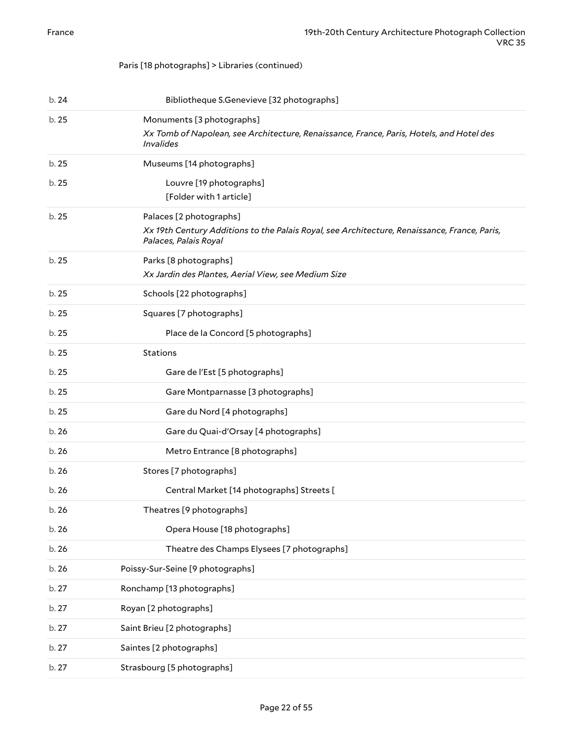#### Paris [18 photographs] > Libraries (continued)

| b.24  | Bibliotheque S.Genevieve [32 photographs]                                                                                                        |
|-------|--------------------------------------------------------------------------------------------------------------------------------------------------|
| b. 25 | Monuments [3 photographs]<br>Xx Tomb of Napolean, see Architecture, Renaissance, France, Paris, Hotels, and Hotel des<br><i>Invalides</i>        |
| b. 25 | Museums [14 photographs]                                                                                                                         |
| b.25  | Louvre [19 photographs]<br>[Folder with 1 article]                                                                                               |
| b.25  | Palaces [2 photographs]<br>Xx 19th Century Additions to the Palais Royal, see Architecture, Renaissance, France, Paris,<br>Palaces, Palais Royal |
| b.25  | Parks [8 photographs]<br>Xx Jardin des Plantes, Aerial View, see Medium Size                                                                     |
| b.25  | Schools [22 photographs]                                                                                                                         |
| b.25  | Squares [7 photographs]                                                                                                                          |
| b.25  | Place de la Concord [5 photographs]                                                                                                              |
| b.25  | <b>Stations</b>                                                                                                                                  |
| b.25  | Gare de l'Est [5 photographs]                                                                                                                    |
| b. 25 | Gare Montparnasse [3 photographs]                                                                                                                |
| b.25  | Gare du Nord [4 photographs]                                                                                                                     |
| b.26  | Gare du Quai-d'Orsay [4 photographs]                                                                                                             |
| b.26  | Metro Entrance [8 photographs]                                                                                                                   |
| b.26  | Stores [7 photographs]                                                                                                                           |
| b.26  | Central Market [14 photographs] Streets [                                                                                                        |
| b. 26 | Theatres [9 photographs]                                                                                                                         |
| b. 26 | Opera House [18 photographs]                                                                                                                     |
| b. 26 | Theatre des Champs Elysees [7 photographs]                                                                                                       |
| b. 26 | Poissy-Sur-Seine [9 photographs]                                                                                                                 |
| b. 27 | Ronchamp [13 photographs]                                                                                                                        |
| b. 27 | Royan [2 photographs]                                                                                                                            |
| b. 27 | Saint Brieu [2 photographs]                                                                                                                      |
| b. 27 | Saintes [2 photographs]                                                                                                                          |
| b. 27 | Strasbourg [5 photographs]                                                                                                                       |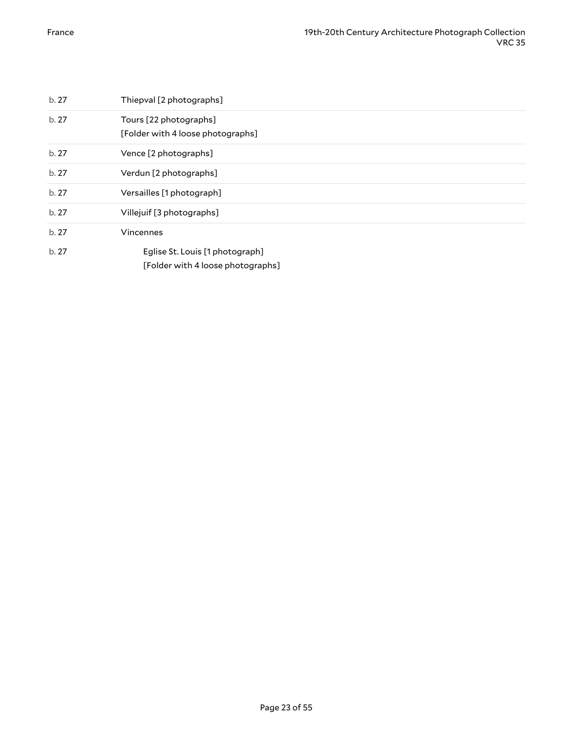| b.27 | Thiepval [2 photographs]                                             |
|------|----------------------------------------------------------------------|
| b.27 | Tours [22 photographs]<br>[Folder with 4 loose photographs]          |
| b.27 | Vence [2 photographs]                                                |
| b.27 | Verdun [2 photographs]                                               |
| b.27 | Versailles [1 photograph]                                            |
| b.27 | Villejuif [3 photographs]                                            |
| b.27 | Vincennes                                                            |
| b.27 | Eglise St. Louis [1 photograph]<br>[Folder with 4 loose photographs] |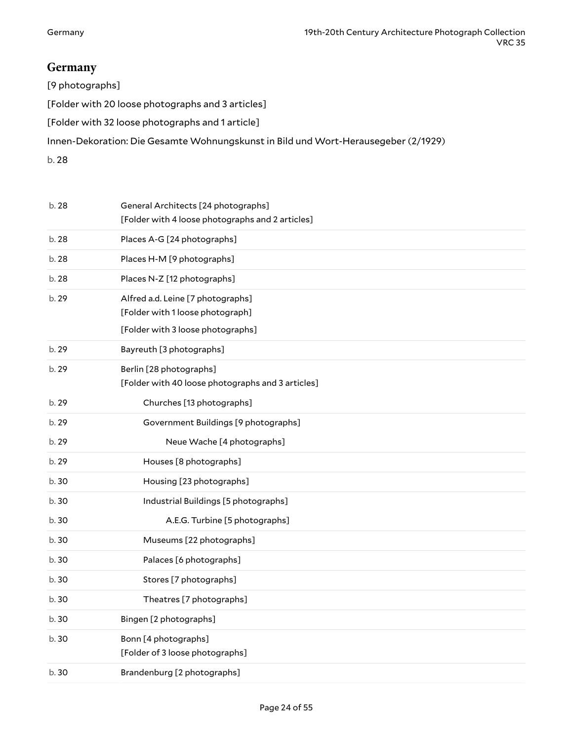# <span id="page-23-0"></span>**Germany**

| $[9 \text{photographs}]$                                                           |
|------------------------------------------------------------------------------------|
| [Folder with 20 loose photographs and 3 articles]                                  |
| [Folder with 32 loose photographs and 1 article]                                   |
| Innen-Dekoration: Die Gesamte Wohnungskunst in Bild und Wort-Herausegeber (2/1929) |
| ہ ما                                                                               |

| b. 28 | General Architects [24 photographs]<br>[Folder with 4 loose photographs and 2 articles] |
|-------|-----------------------------------------------------------------------------------------|
| b. 28 | Places A-G [24 photographs]                                                             |
| b. 28 | Places H-M [9 photographs]                                                              |
| b. 28 | Places N-Z [12 photographs]                                                             |
| b. 29 | Alfred a.d. Leine [7 photographs]<br>[Folder with 1 loose photograph]                   |
|       | [Folder with 3 loose photographs]                                                       |
| b. 29 | Bayreuth [3 photographs]                                                                |
| b. 29 | Berlin [28 photographs]<br>[Folder with 40 loose photographs and 3 articles]            |
| b. 29 | Churches [13 photographs]                                                               |
| b. 29 | Government Buildings [9 photographs]                                                    |
| b. 29 | Neue Wache [4 photographs]                                                              |
| b. 29 | Houses [8 photographs]                                                                  |
| b.30  | Housing [23 photographs]                                                                |
| b.30  | Industrial Buildings [5 photographs]                                                    |
| b.30  | A.E.G. Turbine [5 photographs]                                                          |
| b.30  | Museums [22 photographs]                                                                |
| b. 30 | Palaces [6 photographs]                                                                 |
| b. 30 | Stores [7 photographs]                                                                  |
| b.30  | Theatres [7 photographs]                                                                |
| b.30  | Bingen [2 photographs]                                                                  |
| b. 30 | Bonn [4 photographs]<br>[Folder of 3 loose photographs]                                 |
| b. 30 | Brandenburg [2 photographs]                                                             |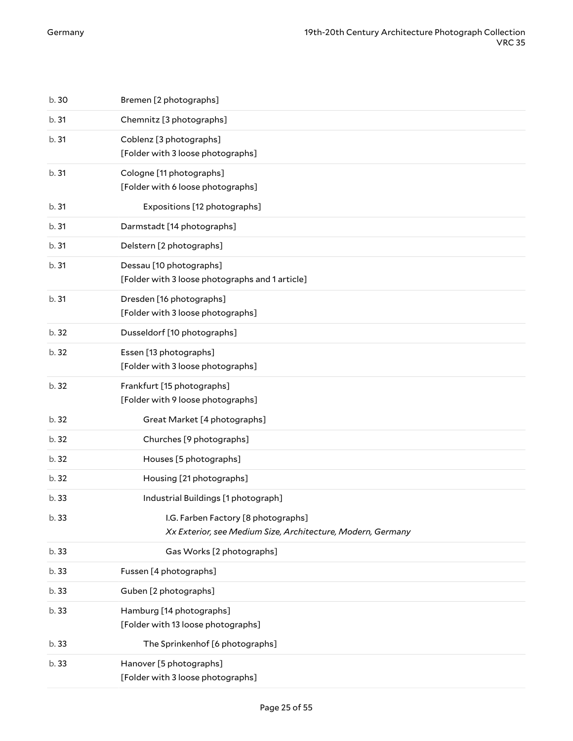| b. 30 | Bremen [2 photographs]                                                     |
|-------|----------------------------------------------------------------------------|
| b.31  | Chemnitz [3 photographs]                                                   |
| b.31  | Coblenz [3 photographs]<br>[Folder with 3 loose photographs]               |
| b.31  | Cologne [11 photographs]<br>[Folder with 6 loose photographs]              |
| b.31  | Expositions [12 photographs]                                               |
| b.31  | Darmstadt [14 photographs]                                                 |
| b.31  | Delstern [2 photographs]                                                   |
| b.31  | Dessau [10 photographs]<br>[Folder with 3 loose photographs and 1 article] |
| b.31  | Dresden [16 photographs]<br>[Folder with 3 loose photographs]              |
| b. 32 | Dusseldorf [10 photographs]                                                |
| b. 32 | Essen [13 photographs]<br>[Folder with 3 loose photographs]                |
| b. 32 | Frankfurt [15 photographs]<br>[Folder with 9 loose photographs]            |
| b. 32 | Great Market [4 photographs]                                               |
| b. 32 | Churches [9 photographs]                                                   |
| b.32  | Houses [5 photographs]                                                     |
| b. 32 | Housing [21 photographs]                                                   |
| b. 33 | Industrial Buildings [1 photograph]                                        |
| b. 33 | I.G. Farben Factory [8 photographs]                                        |
|       | Xx Exterior, see Medium Size, Architecture, Modern, Germany                |
| b. 33 | Gas Works [2 photographs]                                                  |
| b. 33 | Fussen [4 photographs]                                                     |
| b. 33 | Guben [2 photographs]                                                      |
| b. 33 | Hamburg [14 photographs]<br>[Folder with 13 loose photographs]             |
| b. 33 | The Sprinkenhof [6 photographs]                                            |
| b. 33 | Hanover [5 photographs]<br>[Folder with 3 loose photographs]               |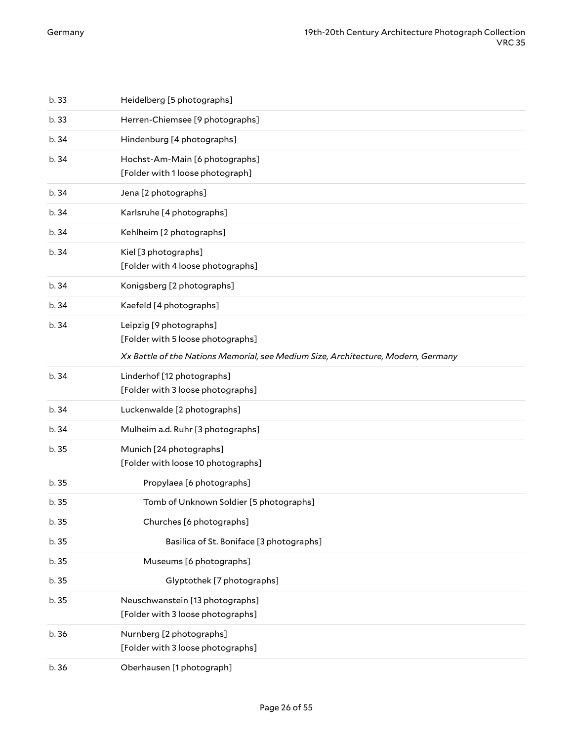| b. 36 | Oberhausen [1 photograph]                                                         |
|-------|-----------------------------------------------------------------------------------|
| b. 36 | Nurnberg [2 photographs]<br>[Folder with 3 loose photographs]                     |
| b. 35 | Neuschwanstein [13 photographs]<br>[Folder with 3 loose photographs]              |
| b.35  | Glyptothek [7 photographs]                                                        |
| b. 35 | Museums [6 photographs]                                                           |
| b. 35 | Basilica of St. Boniface [3 photographs]                                          |
| b. 35 | Churches [6 photographs]                                                          |
| b.35  | Tomb of Unknown Soldier [5 photographs]                                           |
| b. 35 | Propylaea [6 photographs]                                                         |
| b.35  | Munich [24 photographs]<br>[Folder with loose 10 photographs]                     |
| b.34  | Mulheim a.d. Ruhr [3 photographs]                                                 |
| b.34  | Luckenwalde [2 photographs]                                                       |
| b.34  | Linderhof [12 photographs]<br>[Folder with 3 loose photographs]                   |
|       | Xx Battle of the Nations Memorial, see Medium Size, Architecture, Modern, Germany |
| b.34  | Leipzig [9 photographs]<br>[Folder with 5 loose photographs]                      |
| b.34  | Kaefeld [4 photographs]                                                           |
| b.34  | Konigsberg [2 photographs]                                                        |
| b.34  | Kiel [3 photographs]<br>[Folder with 4 loose photographs]                         |
| b.34  | Kehlheim [2 photographs]                                                          |
| b.34  | Karlsruhe [4 photographs]                                                         |
| b. 34 | Jena [2 photographs]                                                              |
| b.34  | Hochst-Am-Main [6 photographs]<br>[Folder with 1 loose photograph]                |
| b.34  | Hindenburg [4 photographs]                                                        |
| b. 33 | Herren-Chiemsee [9 photographs]                                                   |
| b. 33 | Heidelberg [5 photographs]                                                        |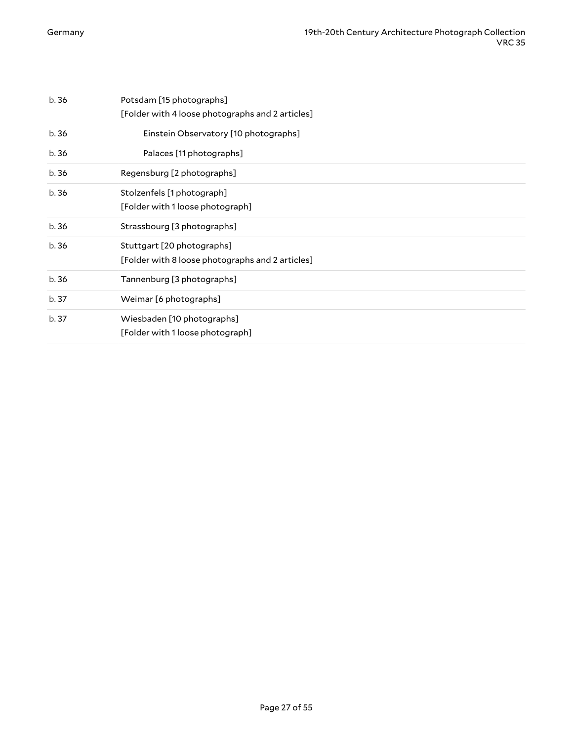| b.36  | Potsdam [15 photographs]<br>[Folder with 4 loose photographs and 2 articles]   |
|-------|--------------------------------------------------------------------------------|
| b.36  | Einstein Observatory [10 photographs]                                          |
| b.36  | Palaces [11 photographs]                                                       |
| b.36  | Regensburg [2 photographs]                                                     |
| b.36  | Stolzenfels [1 photograph]<br>[Folder with 1 loose photograph]                 |
| b.36  | Strassbourg [3 photographs]                                                    |
| b.36  | Stuttgart [20 photographs]<br>[Folder with 8 loose photographs and 2 articles] |
| b. 36 | Tannenburg [3 photographs]                                                     |
| b. 37 | Weimar [6 photographs]                                                         |
| b. 37 | Wiesbaden [10 photographs]<br>[Folder with 1 loose photograph]                 |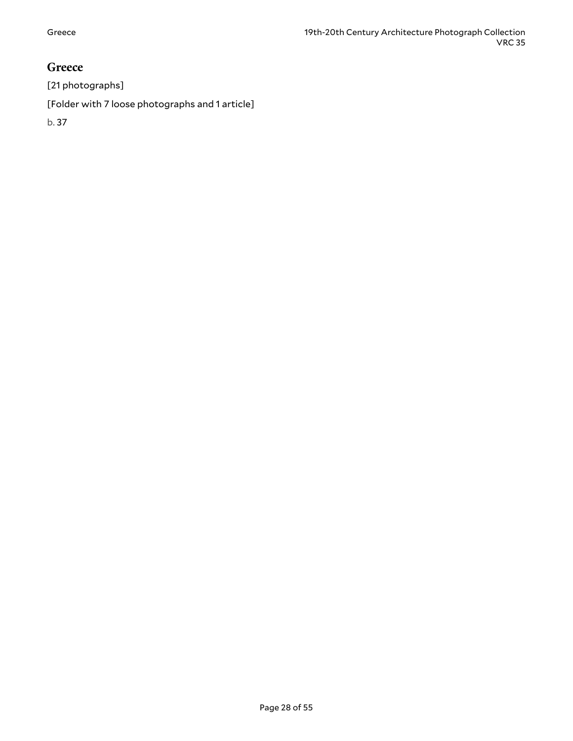### <span id="page-27-0"></span>**Greece**

[21 photographs]

[Folder with 7 loose photographs and 1 article]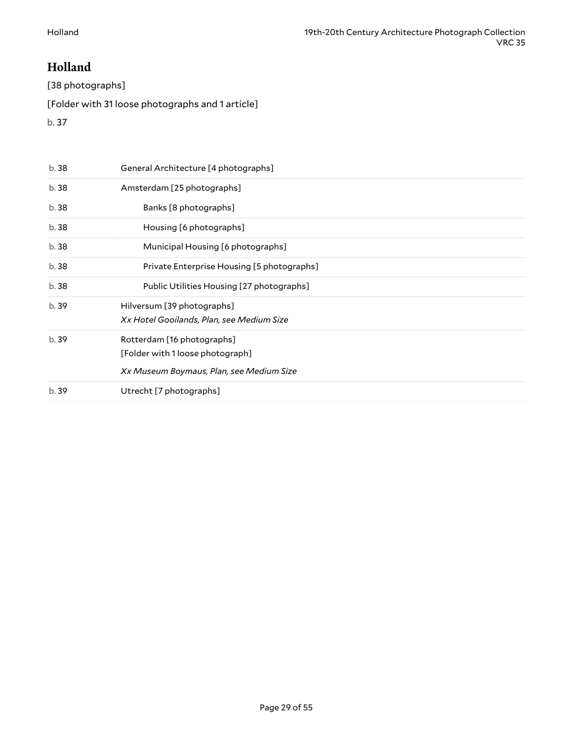# <span id="page-28-0"></span>**Holland**

[38 photographs]

[Folder with 31 loose photographs and 1 article]

| b. 38 | General Architecture [4 photographs]                                                                       |
|-------|------------------------------------------------------------------------------------------------------------|
| b. 38 | Amsterdam [25 photographs]                                                                                 |
| b. 38 | Banks [8 photographs]                                                                                      |
| b. 38 | Housing [6 photographs]                                                                                    |
| b. 38 | Municipal Housing [6 photographs]                                                                          |
| b. 38 | Private Enterprise Housing [5 photographs]                                                                 |
| b. 38 | Public Utilities Housing [27 photographs]                                                                  |
| b. 39 | Hilversum [39 photographs]<br>Xx Hotel Gooilands, Plan, see Medium Size                                    |
| b.39  | Rotterdam [16 photographs]<br>[Folder with 1 loose photograph]<br>Xx Museum Boymaus, Plan, see Medium Size |
| b.39  | Utrecht [7 photographs]                                                                                    |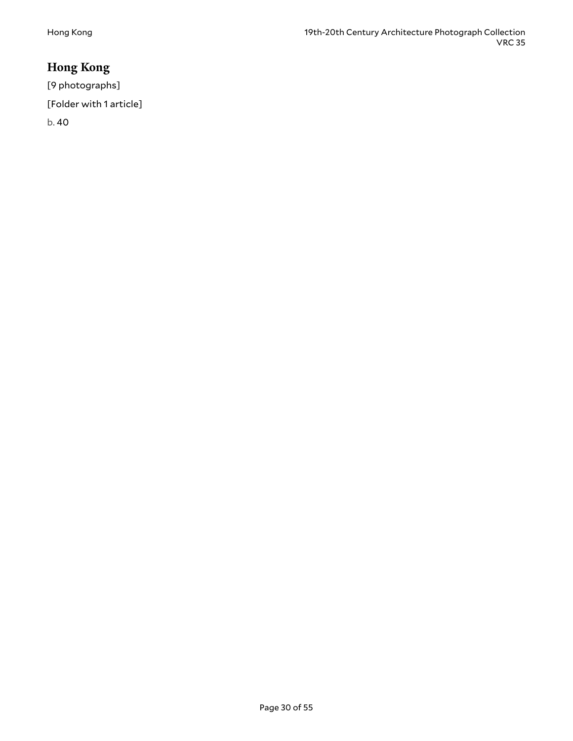# <span id="page-29-0"></span>**Hong Kong**

[9 photographs] [Folder with 1 article] b. 40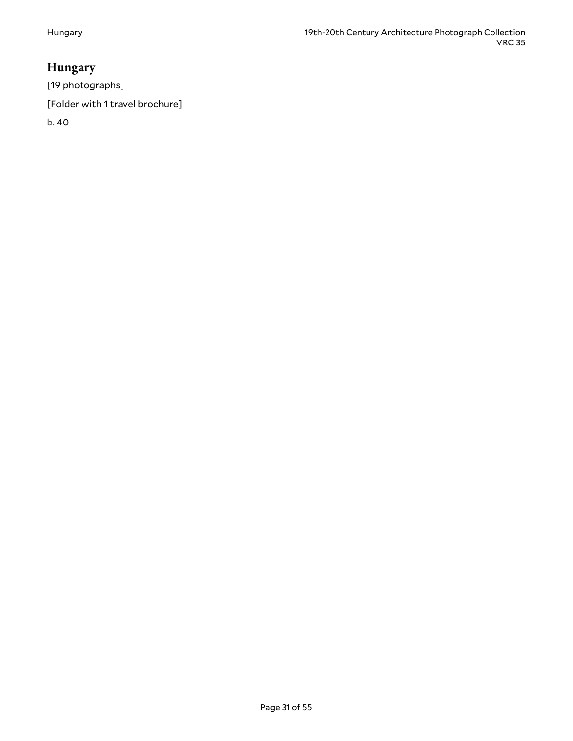# <span id="page-30-0"></span>**Hungary**

[19 photographs]

[Folder with 1 travel brochure]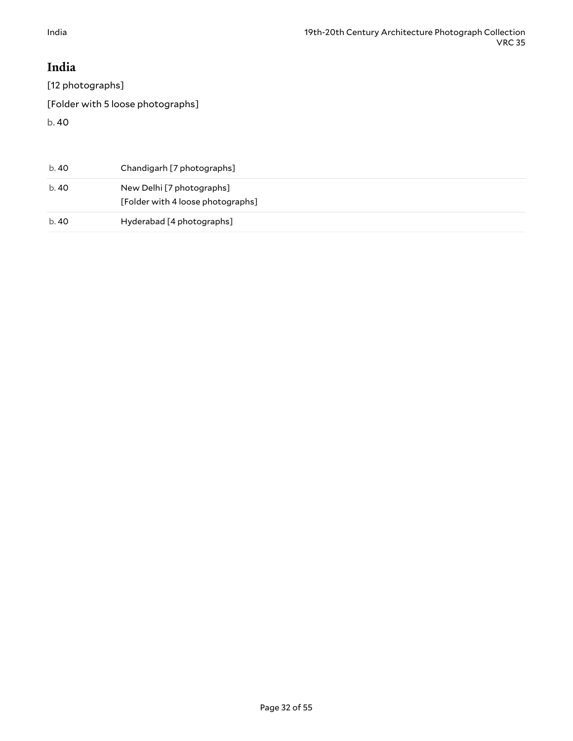# <span id="page-31-0"></span>**India**

[12 photographs]

[Folder with 5 loose photographs]

| b. 40 | Chandigarh [7 photographs]                                     |
|-------|----------------------------------------------------------------|
| b. 40 | New Delhi [7 photographs]<br>[Folder with 4 loose photographs] |
| b. 40 | Hyderabad [4 photographs]                                      |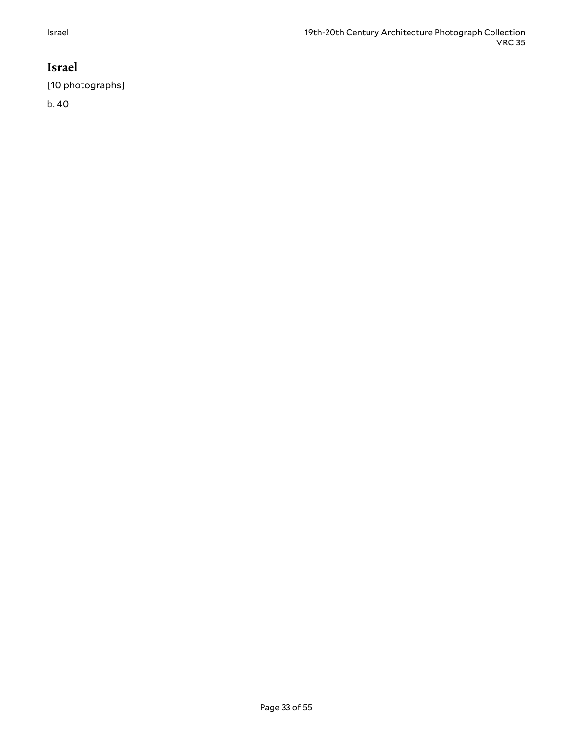# <span id="page-32-0"></span>**Israel**

[10 photographs]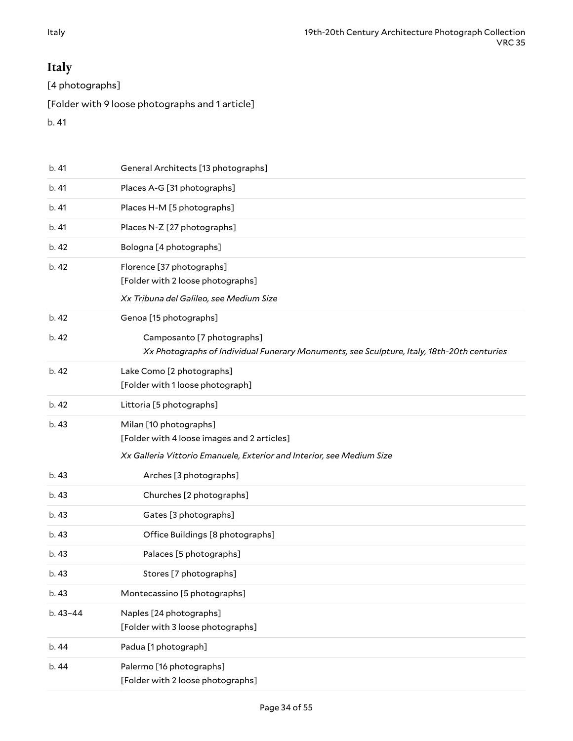# <span id="page-33-0"></span>**Italy**

[4 photographs]

[Folder with 9 loose photographs and 1 article]

| b.41     | General Architects [13 photographs]                                                        |
|----------|--------------------------------------------------------------------------------------------|
| b.41     | Places A-G [31 photographs]                                                                |
| b.41     | Places H-M [5 photographs]                                                                 |
| b.41     | Places N-Z [27 photographs]                                                                |
| b. 42    | Bologna [4 photographs]                                                                    |
| b. 42    | Florence [37 photographs]                                                                  |
|          | [Folder with 2 loose photographs]                                                          |
|          | Xx Tribuna del Galileo, see Medium Size                                                    |
| b. 42    | Genoa [15 photographs]                                                                     |
| b. 42    | Camposanto [7 photographs]                                                                 |
|          | Xx Photographs of Individual Funerary Monuments, see Sculpture, Italy, 18th-20th centuries |
| b. 42    | Lake Como [2 photographs]                                                                  |
|          | [Folder with 1 loose photograph]                                                           |
| b. 42    | Littoria [5 photographs]                                                                   |
| b. 43    | Milan [10 photographs]                                                                     |
|          | [Folder with 4 loose images and 2 articles]                                                |
|          | Xx Galleria Vittorio Emanuele, Exterior and Interior, see Medium Size                      |
| b.43     | Arches [3 photographs]                                                                     |
| b.43     | Churches [2 photographs]                                                                   |
| b. 43    | Gates [3 photographs]                                                                      |
| b. 43    | Office Buildings [8 photographs]                                                           |
| b. 43    | Palaces [5 photographs]                                                                    |
| b. 43    | Stores [7 photographs]                                                                     |
| b. 43    | Montecassino [5 photographs]                                                               |
| b. 43-44 | Naples [24 photographs]                                                                    |
|          | [Folder with 3 loose photographs]                                                          |
| b. 44    | Padua [1 photograph]                                                                       |
| b. 44    | Palermo [16 photographs]                                                                   |
|          | [Folder with 2 loose photographs]                                                          |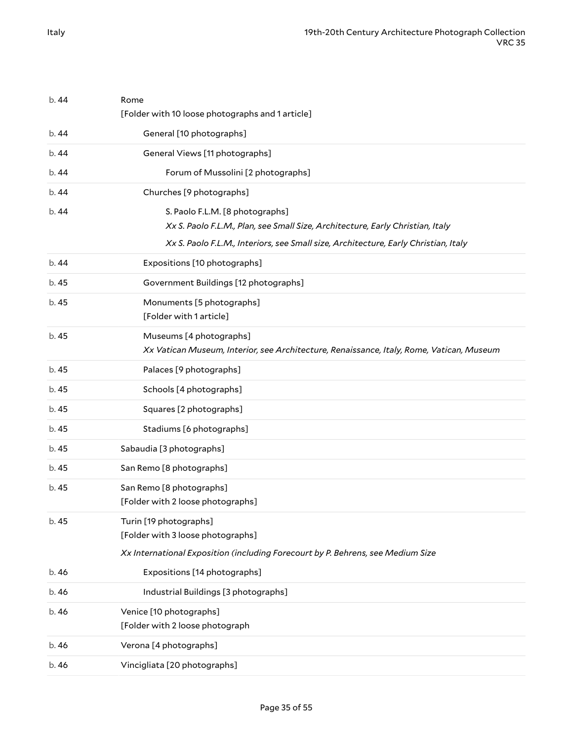| b.44  | Rome<br>[Folder with 10 loose photographs and 1 article]                                                            |
|-------|---------------------------------------------------------------------------------------------------------------------|
| b. 44 | General [10 photographs]                                                                                            |
| b.44  | General Views [11 photographs]                                                                                      |
|       |                                                                                                                     |
| b.44  | Forum of Mussolini [2 photographs]                                                                                  |
| b.44  | Churches [9 photographs]                                                                                            |
| b. 44 | S. Paolo F.L.M. [8 photographs]                                                                                     |
|       | Xx S. Paolo F.L.M., Plan, see Small Size, Architecture, Early Christian, Italy                                      |
|       | Xx S. Paolo F.L.M., Interiors, see Small size, Architecture, Early Christian, Italy                                 |
| b.44  | Expositions [10 photographs]                                                                                        |
| b. 45 | Government Buildings [12 photographs]                                                                               |
| b. 45 | Monuments [5 photographs]<br>[Folder with 1 article]                                                                |
| b. 45 | Museums [4 photographs]<br>Xx Vatican Museum, Interior, see Architecture, Renaissance, Italy, Rome, Vatican, Museum |
| b. 45 | Palaces [9 photographs]                                                                                             |
| b. 45 | Schools [4 photographs]                                                                                             |
| b. 45 | Squares [2 photographs]                                                                                             |
| b. 45 | Stadiums [6 photographs]                                                                                            |
| b. 45 | Sabaudia [3 photographs]                                                                                            |
| b. 45 | San Remo [8 photographs]                                                                                            |
| b. 45 | San Remo [8 photographs]                                                                                            |
|       | [Folder with 2 loose photographs]                                                                                   |
| b. 45 | Turin [19 photographs]                                                                                              |
|       | [Folder with 3 loose photographs]                                                                                   |
|       | Xx International Exposition (including Forecourt by P. Behrens, see Medium Size                                     |
| b.46  | Expositions [14 photographs]                                                                                        |
| b. 46 | Industrial Buildings [3 photographs]                                                                                |
| b. 46 | Venice [10 photographs]                                                                                             |
|       | [Folder with 2 loose photograph                                                                                     |
| b. 46 | Verona [4 photographs]                                                                                              |
| b. 46 | Vincigliata [20 photographs]                                                                                        |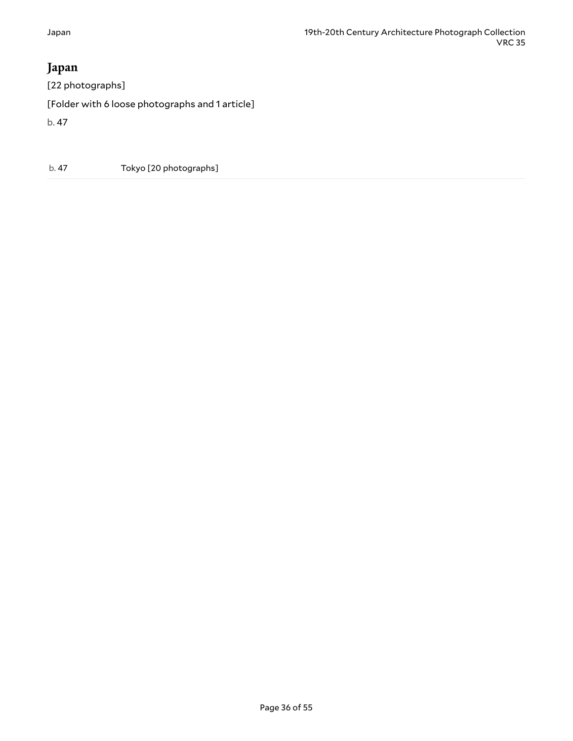# <span id="page-35-0"></span>**Japan**

[22 photographs] [Folder with 6 loose photographs and 1 article] b. 47

b. 47 Tokyo [20 photographs]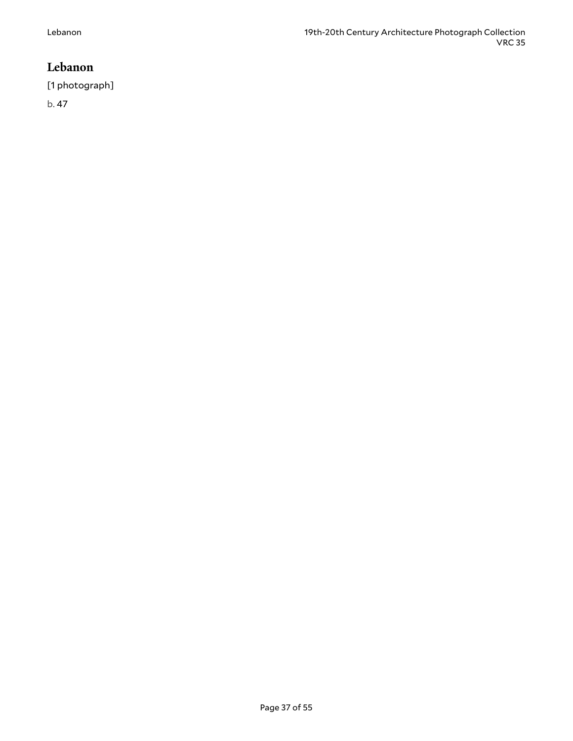### <span id="page-36-0"></span>**Lebanon**

[1 photograph]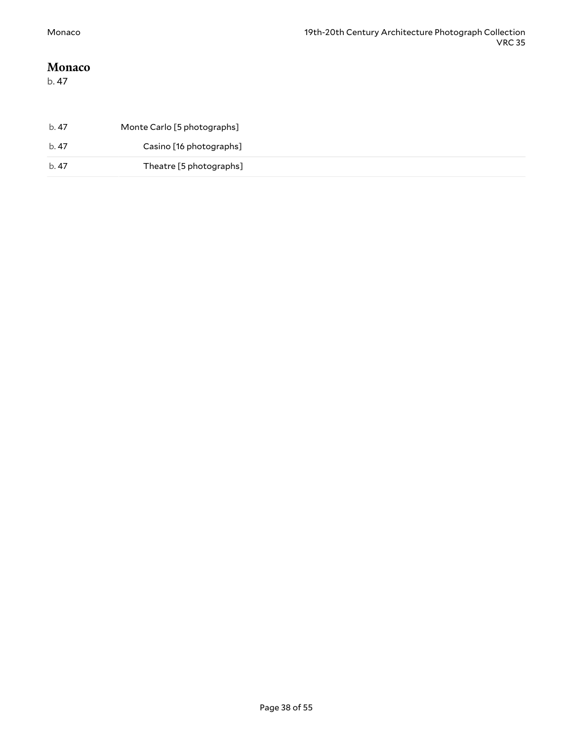#### <span id="page-37-0"></span>**Monaco**

| b. 47 | Monte Carlo [5 photographs] |  |
|-------|-----------------------------|--|
| b. 47 | Casino [16 photographs]     |  |
| b. 47 | Theatre [5 photographs]     |  |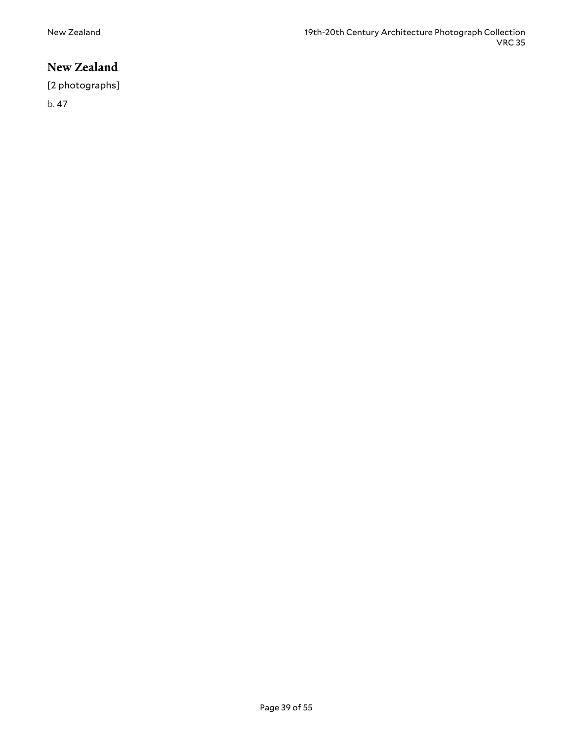## <span id="page-38-0"></span>**New Zealand**

[2 photographs]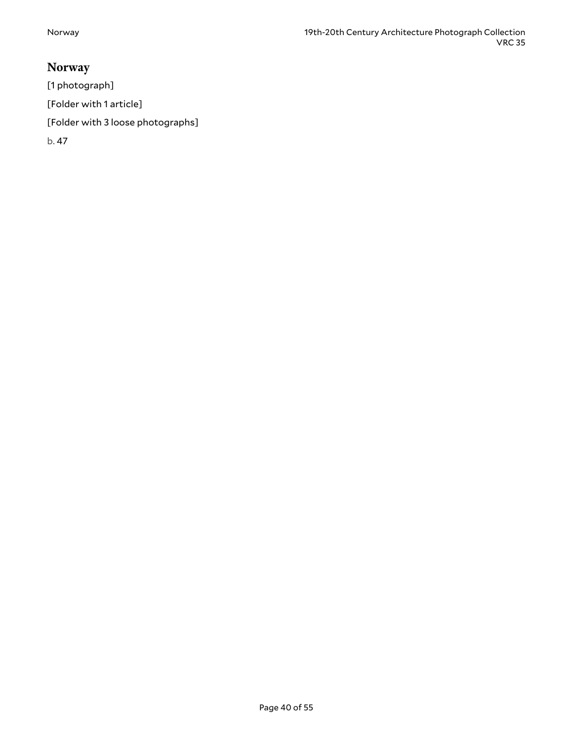# <span id="page-39-0"></span>**Norway**

[1 photograph]

[Folder with 1 article]

[Folder with 3 loose photographs]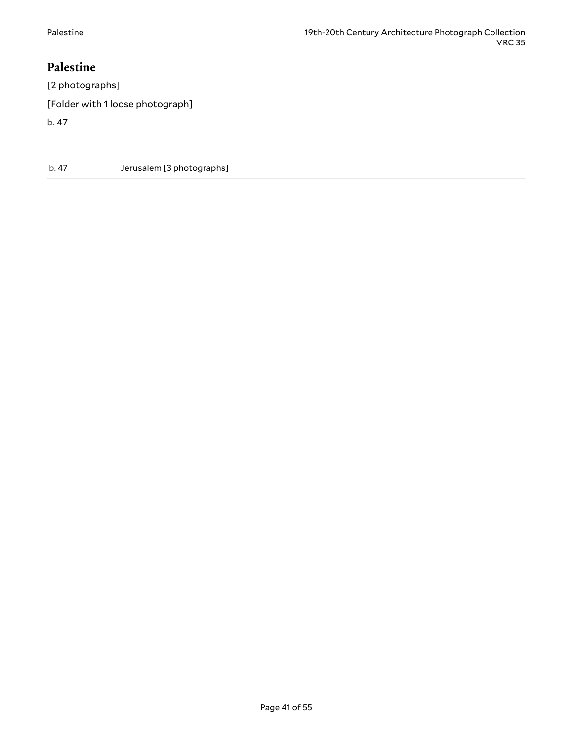### <span id="page-40-0"></span>**Palestine**

[2 photographs]

[Folder with 1 loose photograph]

b. 47

b. 47 Jerusalem [3 photographs]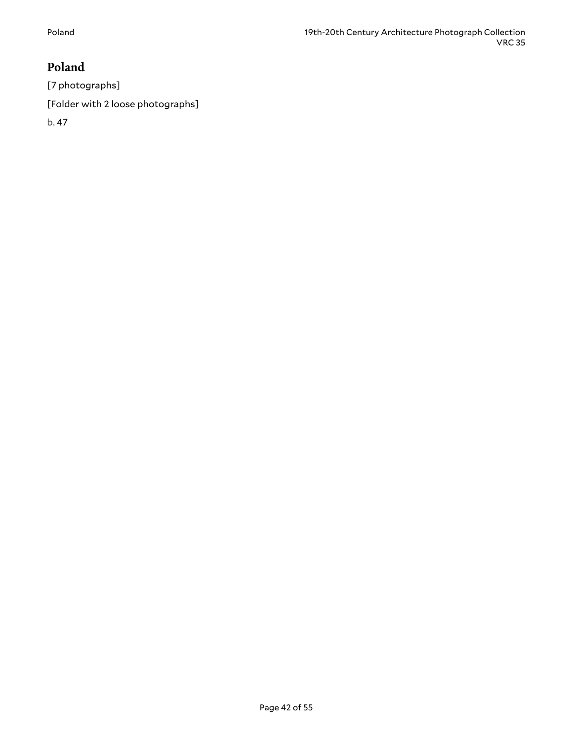# <span id="page-41-0"></span>**Poland**

[7 photographs]

[Folder with 2 loose photographs]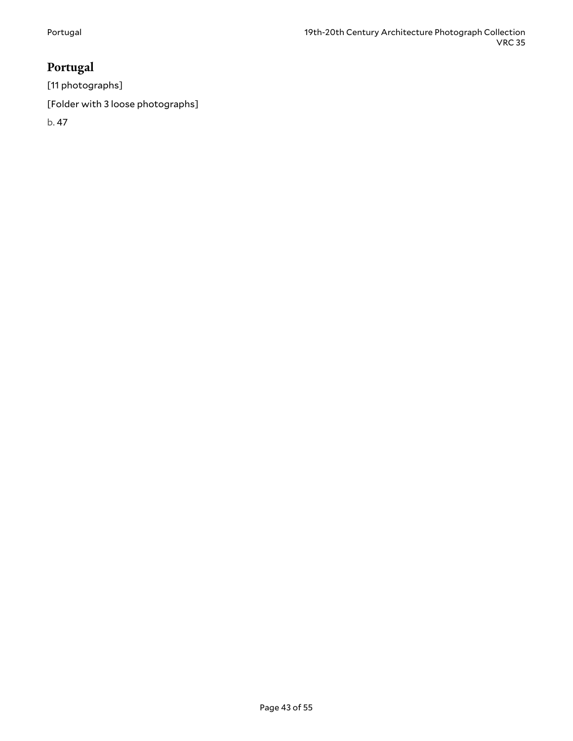# <span id="page-42-0"></span>**Portugal**

[11 photographs]

[Folder with 3 loose photographs]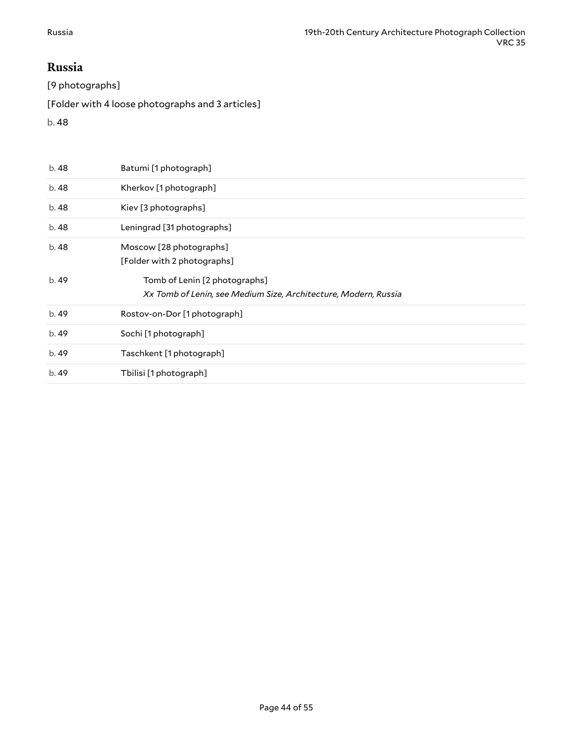#### <span id="page-43-0"></span>**Russia**

[9 photographs]

[Folder with 4 loose photographs and 3 articles]

| b. 48 | Batumi [1 photograph]                                           |
|-------|-----------------------------------------------------------------|
| b. 48 | Kherkov [1 photograph]                                          |
| b. 48 | Kiev [3 photographs]                                            |
| b. 48 | Leningrad [31 photographs]                                      |
| b. 48 | Moscow [28 photographs]                                         |
|       | [Folder with 2 photographs]                                     |
| b. 49 | Tomb of Lenin [2 photographs]                                   |
|       | Xx Tomb of Lenin, see Medium Size, Architecture, Modern, Russia |
| b. 49 | Rostov-on-Dor [1 photograph]                                    |
|       |                                                                 |
| b. 49 | Sochi [1 photograph]                                            |
| b.49  | Taschkent [1 photograph]                                        |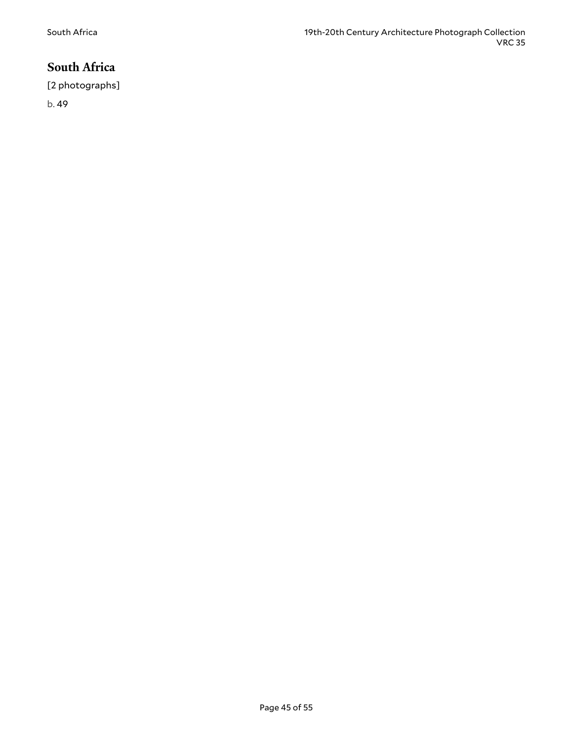# <span id="page-44-0"></span>**South Africa**

[2 photographs]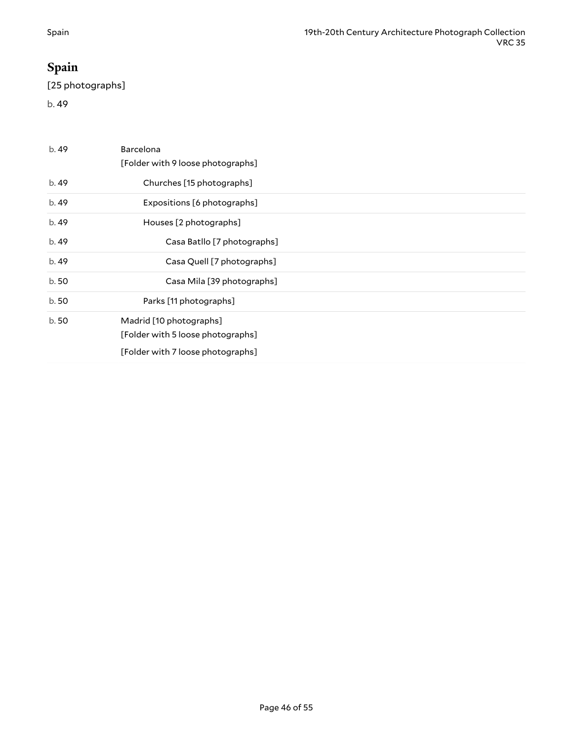# <span id="page-45-0"></span>**Spain**

[25 photographs]

| b.49  | Barcelona<br>[Folder with 9 loose photographs] |
|-------|------------------------------------------------|
| b. 49 | Churches [15 photographs]                      |
| b.49  | Expositions [6 photographs]                    |
| b. 49 | Houses [2 photographs]                         |
| b. 49 | Casa Batllo [7 photographs]                    |
| b.49  | Casa Quell [7 photographs]                     |
| b.50  | Casa Mila [39 photographs]                     |
| b.50  | Parks [11 photographs]                         |
| b.50  | Madrid [10 photographs]                        |
|       | [Folder with 5 loose photographs]              |
|       | [Folder with 7 loose photographs]              |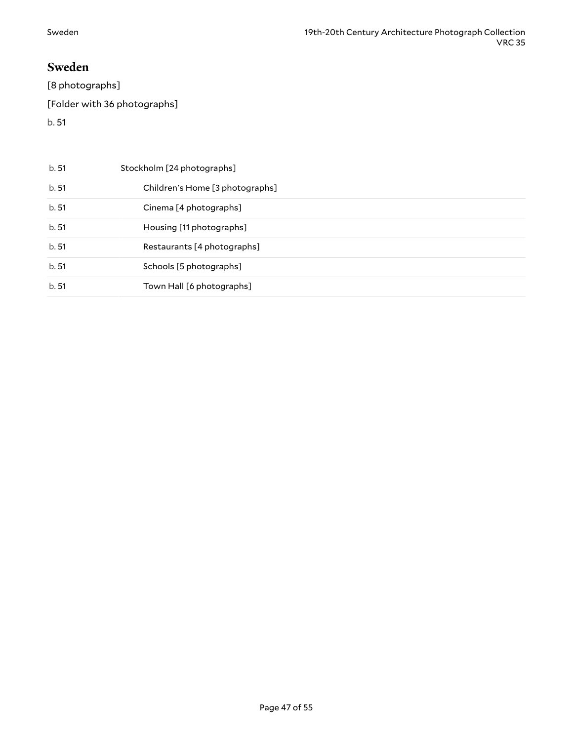#### <span id="page-46-0"></span>**Sweden**

[8 photographs] [Folder with 36 photographs] b. 51

b. 51 Stockholm [24 photographs] b. 51 Children's Home [3 photographs] b. 51 Cinema [4 photographs] b. 51 Housing [11 photographs] b. 51 Restaurants [4 photographs] b. 51 Schools [5 photographs] b. 51 Town Hall [6 photographs]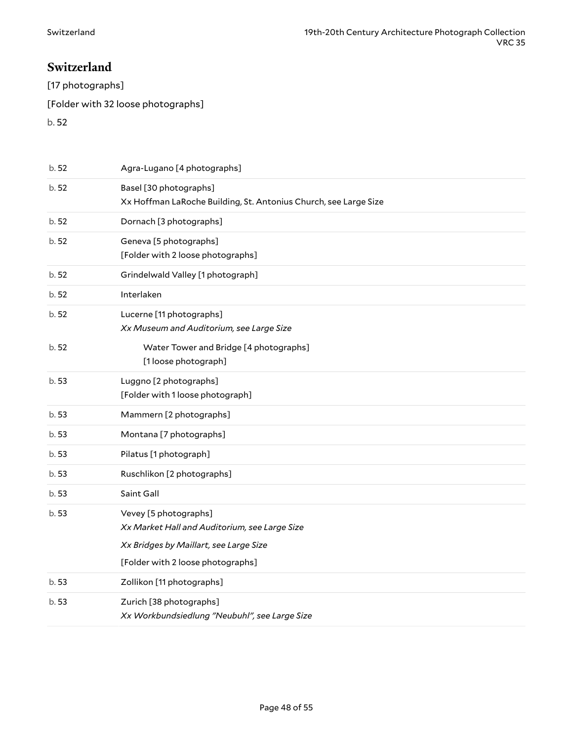### <span id="page-47-0"></span>**Switzerland**

[17 photographs]

[Folder with 32 loose photographs]

| b. 52 | Agra-Lugano [4 photographs]                                                                |
|-------|--------------------------------------------------------------------------------------------|
| b. 52 | Basel [30 photographs]<br>Xx Hoffman LaRoche Building, St. Antonius Church, see Large Size |
| b. 52 | Dornach [3 photographs]                                                                    |
| b. 52 | Geneva [5 photographs]<br>[Folder with 2 loose photographs]                                |
| b. 52 | Grindelwald Valley [1 photograph]                                                          |
| b. 52 | Interlaken                                                                                 |
| b.52  | Lucerne [11 photographs]<br>Xx Museum and Auditorium, see Large Size                       |
| b. 52 | Water Tower and Bridge [4 photographs]<br>[1 loose photograph]                             |
| b.53  | Luggno [2 photographs]<br>[Folder with 1 loose photograph]                                 |
| b.53  | Mammern [2 photographs]                                                                    |
| b.53  | Montana [7 photographs]                                                                    |
| b.53  | Pilatus [1 photograph]                                                                     |
| b.53  | Ruschlikon [2 photographs]                                                                 |
| b.53  | Saint Gall                                                                                 |
| b.53  | Vevey [5 photographs]<br>Xx Market Hall and Auditorium, see Large Size                     |
|       | Xx Bridges by Maillart, see Large Size                                                     |
|       | [Folder with 2 loose photographs]                                                          |
| b.53  | Zollikon [11 photographs]                                                                  |
| b.53  | Zurich [38 photographs]<br>Xx Workbundsiedlung "Neubuhl", see Large Size                   |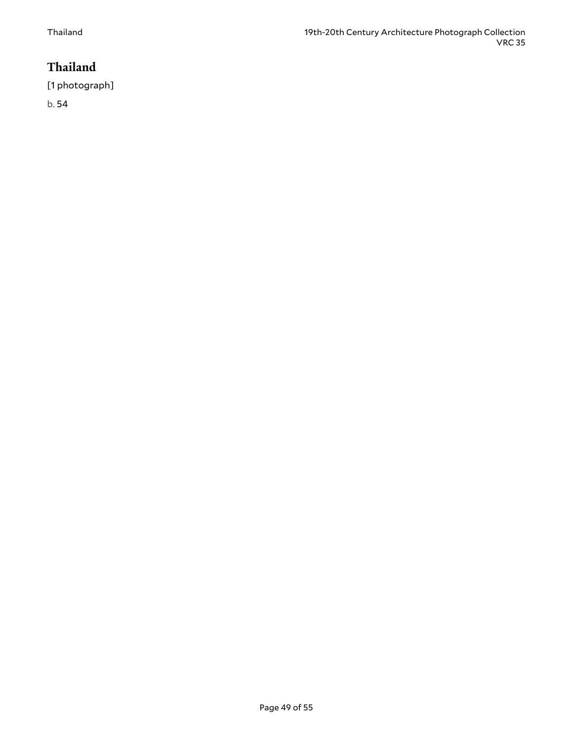# <span id="page-48-0"></span>**Thailand**

[1 photograph]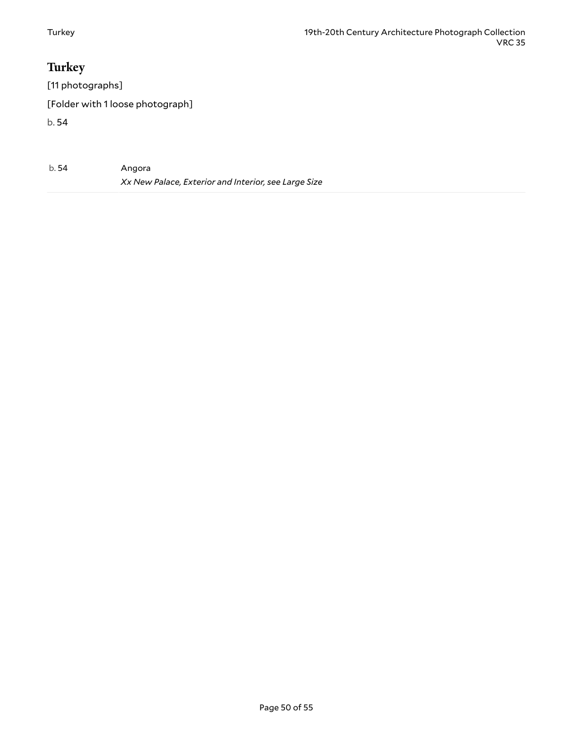# <span id="page-49-0"></span>**Turkey**

[11 photographs]

[Folder with 1 loose photograph]

| b.54 | Angora                                               |
|------|------------------------------------------------------|
|      | Xx New Palace, Exterior and Interior, see Large Size |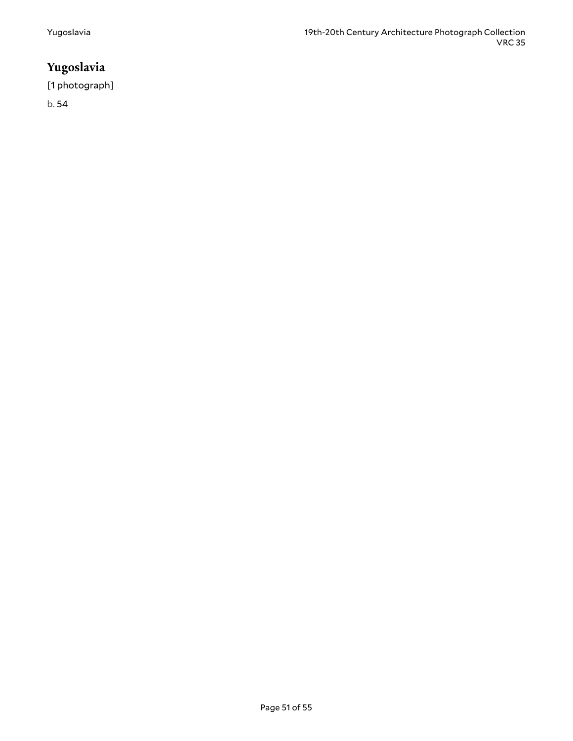# <span id="page-50-0"></span>**Yugoslavia**

[1 photograph]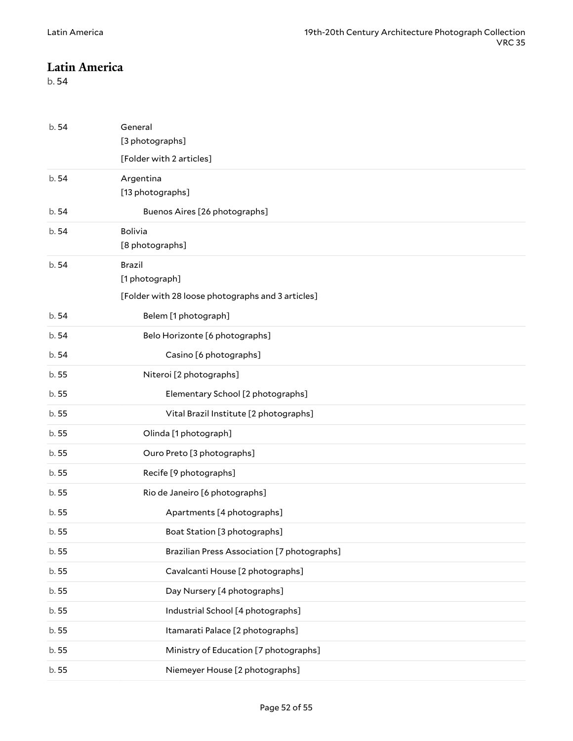#### <span id="page-51-0"></span>**Latin America**

<span id="page-51-4"></span><span id="page-51-3"></span><span id="page-51-2"></span><span id="page-51-1"></span>

| b. 54 | General                                           |
|-------|---------------------------------------------------|
|       | [3 photographs]                                   |
|       | [Folder with 2 articles]                          |
| b.54  | Argentina                                         |
|       | [13 photographs]                                  |
| b. 54 | Buenos Aires [26 photographs]                     |
| b. 54 | Bolivia                                           |
|       | [8 photographs]                                   |
| b.54  | Brazil                                            |
|       | [1 photograph]                                    |
|       | [Folder with 28 loose photographs and 3 articles] |
| b. 54 | Belem [1 photograph]                              |
| b. 54 | Belo Horizonte [6 photographs]                    |
| b. 54 | Casino [6 photographs]                            |
| b.55  | Niteroi [2 photographs]                           |
| b. 55 | Elementary School [2 photographs]                 |
| b.55  | Vital Brazil Institute [2 photographs]            |
| b.55  | Olinda [1 photograph]                             |
| b.55  | Ouro Preto [3 photographs]                        |
| b. 55 | Recife [9 photographs]                            |
| b. 55 | Rio de Janeiro [6 photographs]                    |
| b. 55 | Apartments [4 photographs]                        |
| b.55  | Boat Station [3 photographs]                      |
| b.55  | Brazilian Press Association [7 photographs]       |
| b.55  | Cavalcanti House [2 photographs]                  |
| b.55  | Day Nursery [4 photographs]                       |
| b.55  | Industrial School [4 photographs]                 |
| b.55  | Itamarati Palace [2 photographs]                  |
| b.55  | Ministry of Education [7 photographs]             |
| b. 55 | Niemeyer House [2 photographs]                    |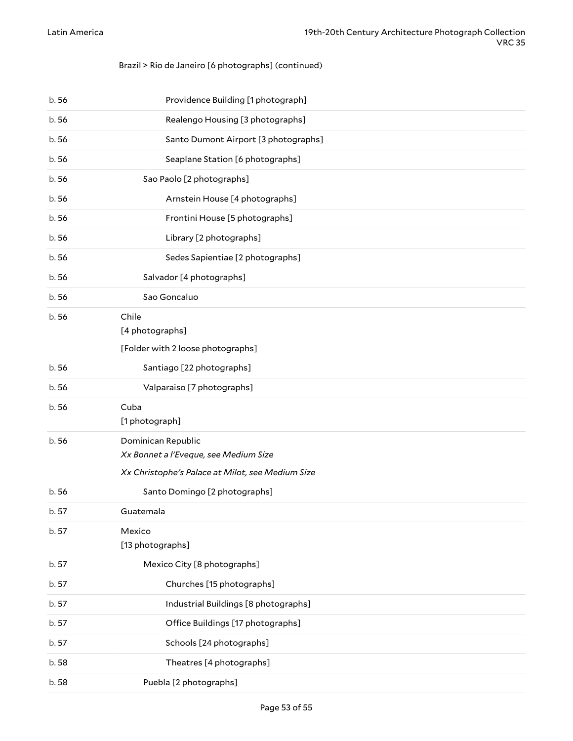#### Brazil > Rio de Janeiro [6 photographs] (continued)

<span id="page-52-4"></span><span id="page-52-3"></span><span id="page-52-2"></span><span id="page-52-1"></span><span id="page-52-0"></span>

| b. 56 | Providence Building [1 photograph]                                                                              |
|-------|-----------------------------------------------------------------------------------------------------------------|
| b.56  | Realengo Housing [3 photographs]                                                                                |
| b.56  | Santo Dumont Airport [3 photographs]                                                                            |
| b.56  | Seaplane Station [6 photographs]                                                                                |
| b. 56 | Sao Paolo [2 photographs]                                                                                       |
| b.56  | Arnstein House [4 photographs]                                                                                  |
| b. 56 | Frontini House [5 photographs]                                                                                  |
| b. 56 | Library [2 photographs]                                                                                         |
| b. 56 | Sedes Sapientiae [2 photographs]                                                                                |
| b.56  | Salvador [4 photographs]                                                                                        |
| b.56  | Sao Goncaluo                                                                                                    |
| b.56  | Chile<br>[4 photographs]<br>[Folder with 2 loose photographs]                                                   |
| b. 56 | Santiago [22 photographs]                                                                                       |
| b.56  | Valparaiso [7 photographs]                                                                                      |
| b.56  | Cuba<br>[1 photograph]                                                                                          |
| b.56  | Dominican Republic<br>Xx Bonnet a l'Eveque, see Medium Size<br>Xx Christophe's Palace at Milot, see Medium Size |
| b. 56 | Santo Domingo [2 photographs]                                                                                   |
| b. 57 | Guatemala                                                                                                       |
| b.57  | Mexico<br>[13 photographs]                                                                                      |
| b. 57 | Mexico City [8 photographs]                                                                                     |
| b. 57 | Churches [15 photographs]                                                                                       |
| b. 57 | Industrial Buildings [8 photographs]                                                                            |
| b. 57 | Office Buildings [17 photographs]                                                                               |
| b. 57 | Schools [24 photographs]                                                                                        |
| b.58  | Theatres [4 photographs]                                                                                        |
| b.58  | Puebla [2 photographs]                                                                                          |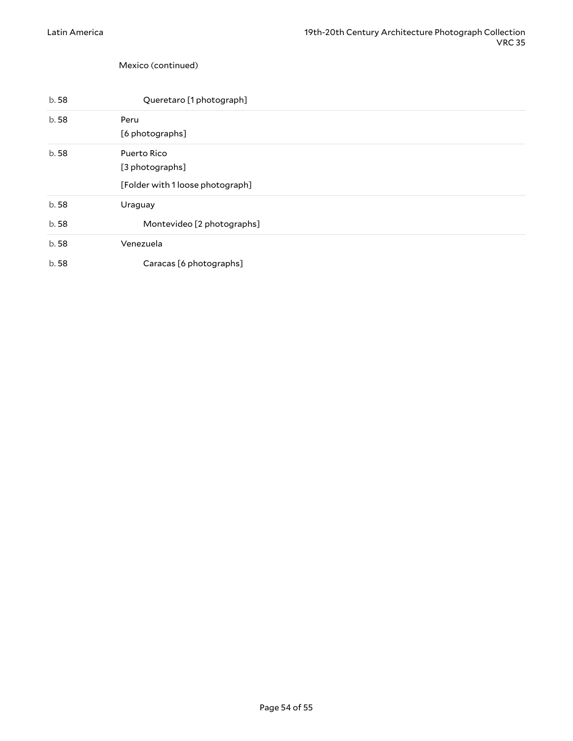<span id="page-53-1"></span><span id="page-53-0"></span>Mexico (continued)

<span id="page-53-3"></span><span id="page-53-2"></span>

| b.58 | Queretaro [1 photograph]         |
|------|----------------------------------|
| b.58 | Peru                             |
|      | [6 photographs]                  |
| b.58 | Puerto Rico                      |
|      | [3 photographs]                  |
|      | [Folder with 1 loose photograph] |
| b.58 | Uraguay                          |
| b.58 | Montevideo [2 photographs]       |
| b.58 | Venezuela                        |
| b.58 | Caracas [6 photographs]          |